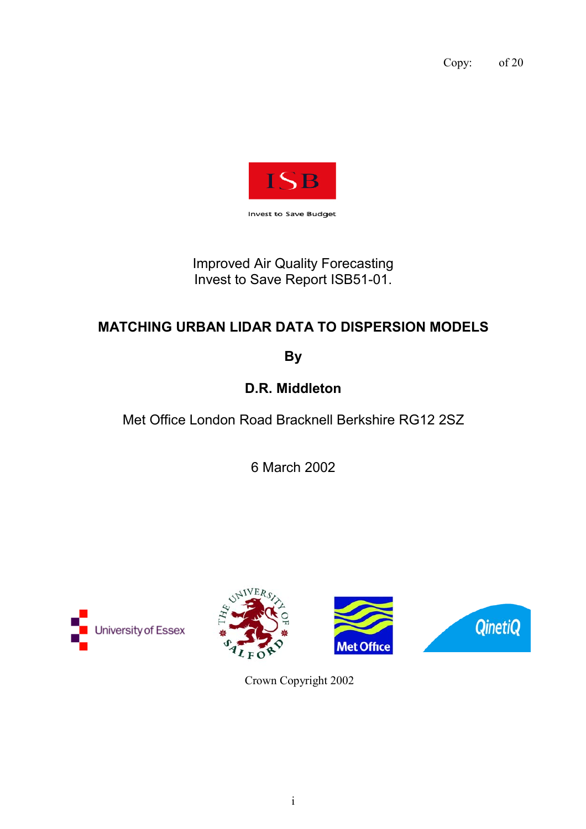Copy: of 20



**Invest to Save Budget** 

Improved Air Quality Forecasting Invest to Save Report ISB51-01.

# **MATCHING URBAN LIDAR DATA TO DISPERSION MODELS**

**By**

**D.R. Middleton**

Met Office London Road Bracknell Berkshire RG12 2SZ

6 March 2002





Crown Copyright 2002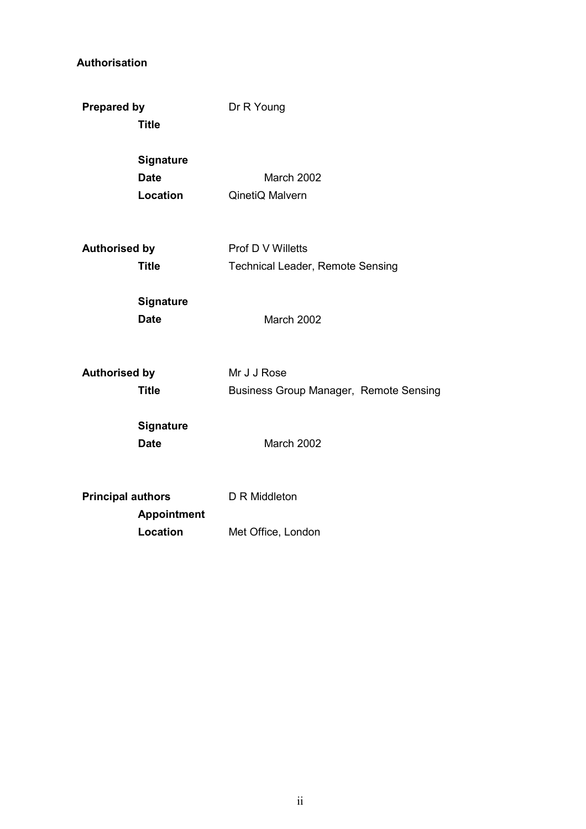## **Authorisation**

| <b>Prepared by</b>       | <b>Title</b>                                       | Dr R Young                                                   |
|--------------------------|----------------------------------------------------|--------------------------------------------------------------|
|                          | <b>Signature</b><br><b>Date</b><br><b>Location</b> | March 2002<br>QinetiQ Malvern                                |
| <b>Authorised by</b>     | <b>Title</b>                                       | Prof D V Willetts<br><b>Technical Leader, Remote Sensing</b> |
|                          | <b>Signature</b><br><b>Date</b>                    | March 2002                                                   |
| <b>Authorised by</b>     | <b>Title</b>                                       | Mr J J Rose<br>Business Group Manager, Remote Sensing        |
|                          | <b>Signature</b><br><b>Date</b>                    | March 2002                                                   |
| <b>Principal authors</b> | <b>Appointment</b>                                 | D R Middleton                                                |
|                          | Location                                           | Met Office, London                                           |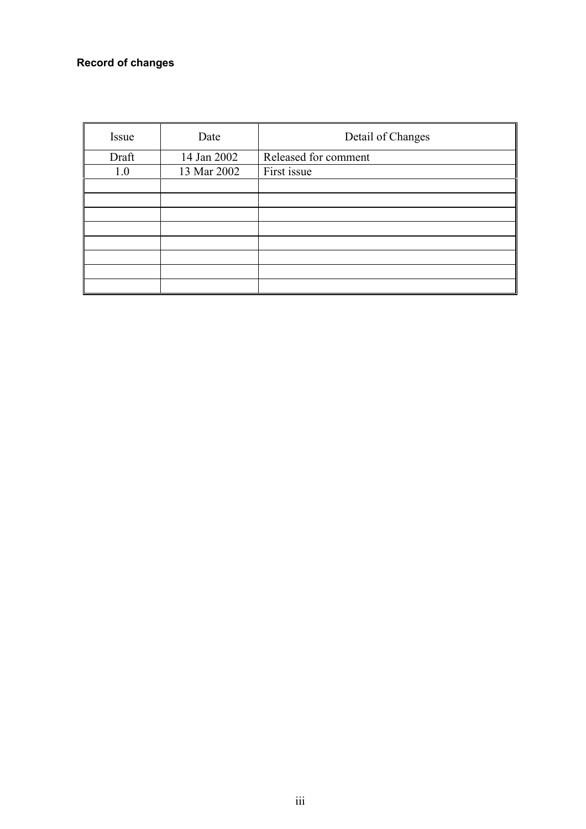## **Record of changes**

| Issue | Date        | Detail of Changes    |
|-------|-------------|----------------------|
| Draft | 14 Jan 2002 | Released for comment |
| 1.0   | 13 Mar 2002 | First issue          |
|       |             |                      |
|       |             |                      |
|       |             |                      |
|       |             |                      |
|       |             |                      |
|       |             |                      |
|       |             |                      |
|       |             |                      |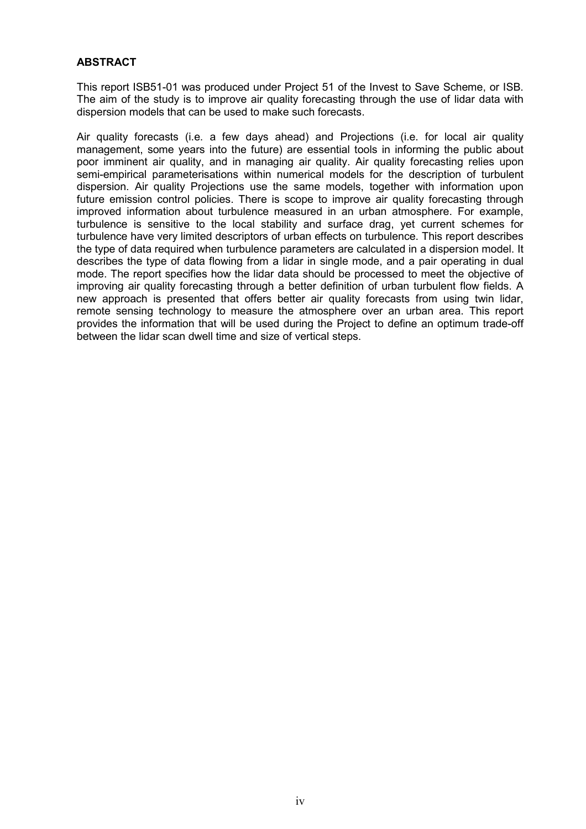### **ABSTRACT**

This report ISB51-01 was produced under Project 51 of the Invest to Save Scheme, or ISB. The aim of the study is to improve air quality forecasting through the use of lidar data with dispersion models that can be used to make such forecasts.

Air quality forecasts (i.e. a few days ahead) and Projections (i.e. for local air quality management, some years into the future) are essential tools in informing the public about poor imminent air quality, and in managing air quality. Air quality forecasting relies upon semi-empirical parameterisations within numerical models for the description of turbulent dispersion. Air quality Projections use the same models, together with information upon future emission control policies. There is scope to improve air quality forecasting through improved information about turbulence measured in an urban atmosphere. For example, turbulence is sensitive to the local stability and surface drag, yet current schemes for turbulence have very limited descriptors of urban effects on turbulence. This report describes the type of data required when turbulence parameters are calculated in a dispersion model. It describes the type of data flowing from a lidar in single mode, and a pair operating in dual mode. The report specifies how the lidar data should be processed to meet the objective of improving air quality forecasting through a better definition of urban turbulent flow fields. A new approach is presented that offers better air quality forecasts from using twin lidar, remote sensing technology to measure the atmosphere over an urban area. This report provides the information that will be used during the Project to define an optimum trade-off between the lidar scan dwell time and size of vertical steps.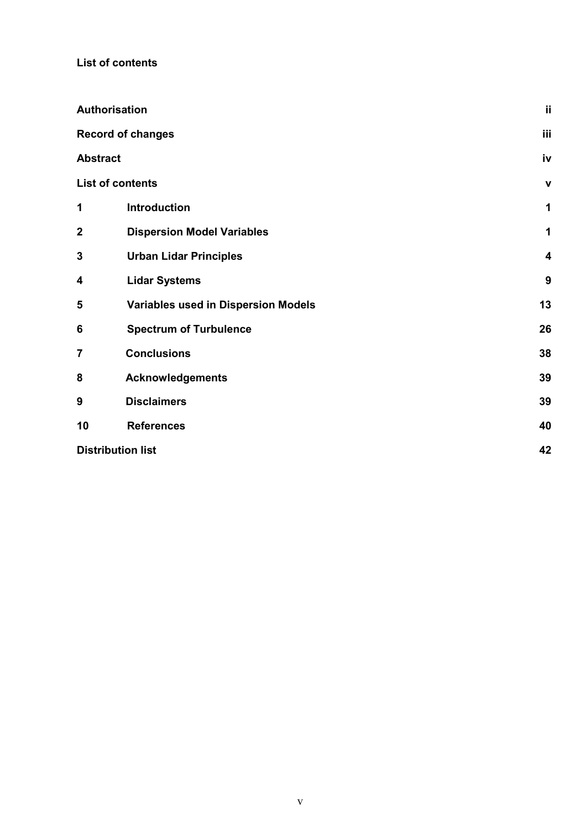**List of contents**

|                 | Authorisation                              | ij                      |
|-----------------|--------------------------------------------|-------------------------|
|                 | <b>Record of changes</b>                   | iii                     |
| <b>Abstract</b> |                                            | iv                      |
|                 | <b>List of contents</b>                    | $\mathbf v$             |
| 1               | <b>Introduction</b>                        | 1                       |
| $\mathbf{2}$    | <b>Dispersion Model Variables</b>          | 1                       |
| $\mathbf 3$     | <b>Urban Lidar Principles</b>              | $\overline{\mathbf{4}}$ |
| 4               | <b>Lidar Systems</b>                       | $\boldsymbol{9}$        |
| 5               | <b>Variables used in Dispersion Models</b> | 13                      |
| 6               | <b>Spectrum of Turbulence</b>              | 26                      |
| $\overline{7}$  | <b>Conclusions</b>                         | 38                      |
| 8               | <b>Acknowledgements</b>                    | 39                      |
| 9               | <b>Disclaimers</b>                         | 39                      |
| 10              | <b>References</b>                          | 40                      |
|                 | <b>Distribution list</b>                   | 42                      |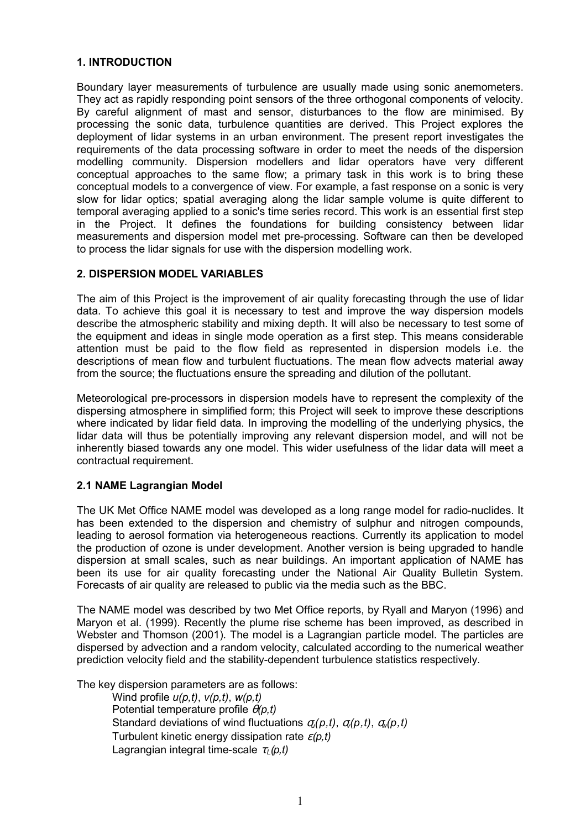### **1. INTRODUCTION**

Boundary layer measurements of turbulence are usually made using sonic anemometers. They act as rapidly responding point sensors of the three orthogonal components of velocity. By careful alignment of mast and sensor, disturbances to the flow are minimised. By processing the sonic data, turbulence quantities are derived. This Project explores the deployment of lidar systems in an urban environment. The present report investigates the requirements of the data processing software in order to meet the needs of the dispersion modelling community. Dispersion modellers and lidar operators have very different conceptual approaches to the same flow; a primary task in this work is to bring these conceptual models to a convergence of view. For example, a fast response on a sonic is very slow for lidar optics; spatial averaging along the lidar sample volume is quite different to temporal averaging applied to a sonic's time series record. This work is an essential first step in the Project. It defines the foundations for building consistency between lidar measurements and dispersion model met pre-processing. Software can then be developed to process the lidar signals for use with the dispersion modelling work.

### **2. DISPERSION MODEL VARIABLES**

The aim of this Project is the improvement of air quality forecasting through the use of lidar data. To achieve this goal it is necessary to test and improve the way dispersion models describe the atmospheric stability and mixing depth. It will also be necessary to test some of the equipment and ideas in single mode operation as a first step. This means considerable attention must be paid to the flow field as represented in dispersion models i.e. the descriptions of mean flow and turbulent fluctuations. The mean flow advects material away from the source; the fluctuations ensure the spreading and dilution of the pollutant.

Meteorological pre-processors in dispersion models have to represent the complexity of the dispersing atmosphere in simplified form; this Project will seek to improve these descriptions where indicated by lidar field data. In improving the modelling of the underlying physics, the lidar data will thus be potentially improving any relevant dispersion model, and will not be inherently biased towards any one model. This wider usefulness of the lidar data will meet a contractual requirement.

## **2.1 NAME Lagrangian Model**

The UK Met Office NAME model was developed as a long range model for radio-nuclides. It has been extended to the dispersion and chemistry of sulphur and nitrogen compounds, leading to aerosol formation via heterogeneous reactions. Currently its application to model the production of ozone is under development. Another version is being upgraded to handle dispersion at small scales, such as near buildings. An important application of NAME has been its use for air quality forecasting under the National Air Quality Bulletin System. Forecasts of air quality are released to public via the media such as the BBC.

The NAME model was described by two Met Office reports, by Ryall and Maryon (1996) and Maryon et al. (1999). Recently the plume rise scheme has been improved, as described in Webster and Thomson (2001). The model is a Lagrangian particle model. The particles are dispersed by advection and a random velocity, calculated according to the numerical weather prediction velocity field and the stability-dependent turbulence statistics respectively.

The key dispersion parameters are as follows:

Wind profile *u(p,t)*, *v(p,t)*, *w(p,t)* Potential temperature profile θ*(p,t)* Standard deviations of wind fluctuations σ*u(p,t)*, σ*v(p,t)*, σ*w(p,t)* Turbulent kinetic energy dissipation rate ε*(p,t)* Lagrangian integral time-scale τ<sub>ι</sub> (p, t)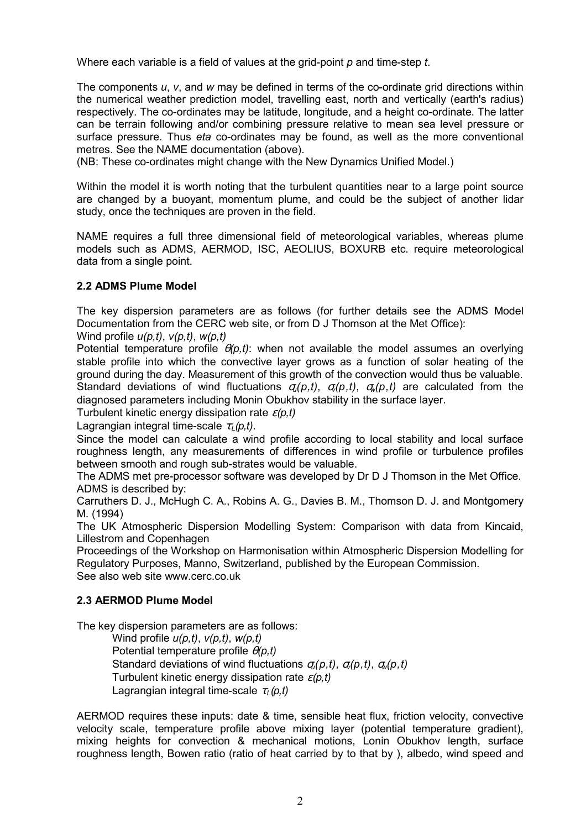Where each variable is a field of values at the grid-point *p* and time-step *t*.

The components *u*, *v*, and *w* may be defined in terms of the co-ordinate grid directions within the numerical weather prediction model, travelling east, north and vertically (earth's radius) respectively. The co-ordinates may be latitude, longitude, and a height co-ordinate. The latter can be terrain following and/or combining pressure relative to mean sea level pressure or surface pressure. Thus *eta* co-ordinates may be found, as well as the more conventional metres. See the NAME documentation (above).

(NB: These co-ordinates might change with the New Dynamics Unified Model.)

Within the model it is worth noting that the turbulent quantities near to a large point source are changed by a buoyant, momentum plume, and could be the subject of another lidar study, once the techniques are proven in the field.

NAME requires a full three dimensional field of meteorological variables, whereas plume models such as ADMS, AERMOD, ISC, AEOLIUS, BOXURB etc. require meteorological data from a single point.

### **2.2 ADMS Plume Model**

The key dispersion parameters are as follows (for further details see the ADMS Model Documentation from the CERC web site, or from D J Thomson at the Met Office):

Wind profile *u(p,t)*, *v(p,t)*, *w(p,t)*

Potential temperature profile  $\theta(p,t)$ : when not available the model assumes an overlying stable profile into which the convective layer grows as a function of solar heating of the ground during the day. Measurement of this growth of the convection would thus be valuable. Standard deviations of wind fluctuations  $q_i(p,t)$ ,  $q_i(p,t)$ ,  $q_{i}(p,t)$  are calculated from the diagnosed parameters including Monin Obukhov stability in the surface layer.

Turbulent kinetic energy dissipation rate ε*(p,t)*

Lagrangian integral time-scale  $\tau_L(p,t)$ .

Since the model can calculate a wind profile according to local stability and local surface roughness length, any measurements of differences in wind profile or turbulence profiles between smooth and rough sub-strates would be valuable.

The ADMS met pre-processor software was developed by Dr D J Thomson in the Met Office. ADMS is described by:

Carruthers D. J., McHugh C. A., Robins A. G., Davies B. M., Thomson D. J. and Montgomery M. (1994)

The UK Atmospheric Dispersion Modelling System: Comparison with data from Kincaid, Lillestrom and Copenhagen

Proceedings of the Workshop on Harmonisation within Atmospheric Dispersion Modelling for Regulatory Purposes, Manno, Switzerland, published by the European Commission. See also web site www.cerc.co.uk

### **2.3 AERMOD Plume Model**

The key dispersion parameters are as follows:

Wind profile *u(p,t)*, *v(p,t)*, *w(p,t)* Potential temperature profile θ*(p,t)* Standard deviations of wind fluctuations σ*u(p,t)*, σ*v(p,t)*, σ*w(p,t)* Turbulent kinetic energy dissipation rate ε*(p,t)* Lagrangian integral time-scale τ<sub>ι</sub> (p, t)

AERMOD requires these inputs: date & time, sensible heat flux, friction velocity, convective velocity scale, temperature profile above mixing layer (potential temperature gradient), mixing heights for convection & mechanical motions, Lonin Obukhov length, surface roughness length, Bowen ratio (ratio of heat carried by to that by ), albedo, wind speed and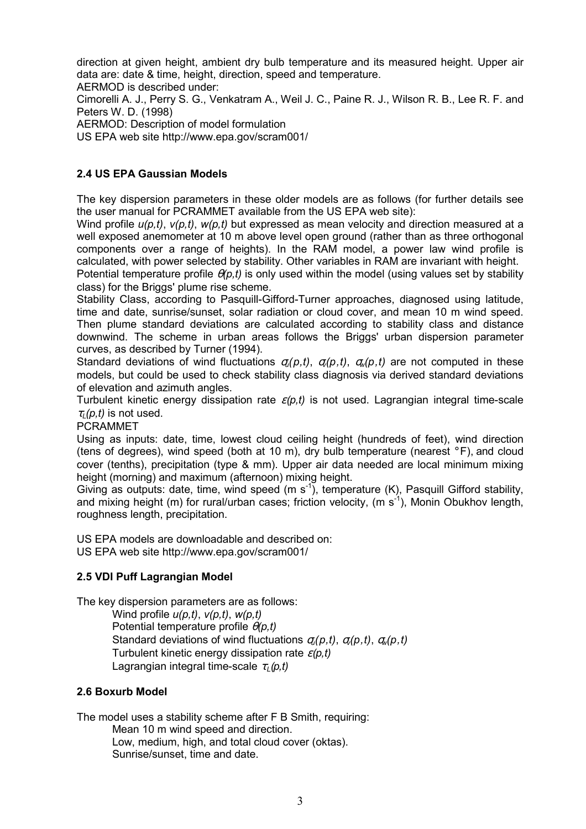direction at given height, ambient dry bulb temperature and its measured height. Upper air data are: date & time, height, direction, speed and temperature.

AERMOD is described under:

Cimorelli A. J., Perry S. G., Venkatram A., Weil J. C., Paine R. J., Wilson R. B., Lee R. F. and Peters W. D. (1998)

AERMOD: Description of model formulation

US EPA web site http://www.epa.gov/scram001/

## **2.4 US EPA Gaussian Models**

The key dispersion parameters in these older models are as follows (for further details see the user manual for PCRAMMET available from the US EPA web site):

Wind profile *u(p,t)*, *v(p,t)*, *w(p,t)* but expressed as mean velocity and direction measured at a well exposed anemometer at 10 m above level open ground (rather than as three orthogonal components over a range of heights). In the RAM model, a power law wind profile is calculated, with power selected by stability. Other variables in RAM are invariant with height.

Potential temperature profile θ*(p,t)* is only used within the model (using values set by stability class) for the Briggs' plume rise scheme.

Stability Class, according to Pasquill-Gifford-Turner approaches, diagnosed using latitude, time and date, sunrise/sunset, solar radiation or cloud cover, and mean 10 m wind speed. Then plume standard deviations are calculated according to stability class and distance downwind. The scheme in urban areas follows the Briggs' urban dispersion parameter curves, as described by Turner (1994).

Standard deviations of wind fluctuations  $\sigma_i(p,t)$ ,  $\sigma_i(p,t)$ ,  $\sigma_i(p,t)$  are not computed in these models, but could be used to check stability class diagnosis via derived standard deviations of elevation and azimuth angles.

Turbulent kinetic energy dissipation rate ε*(p,t)* is not used. Lagrangian integral time-scale  $\tau_l$ (*p,t*) is not used.

PCRAMMET

Using as inputs: date, time, lowest cloud ceiling height (hundreds of feet), wind direction (tens of degrees), wind speed (both at 10 m), dry bulb temperature (nearest  $\circ$  F), and cloud cover (tenths), precipitation (type & mm). Upper air data needed are local minimum mixing height (morning) and maximum (afternoon) mixing height.

Giving as outputs: date, time, wind speed (m  $s^{-1}$ ), temperature (K), Pasquill Gifford stability, and mixing height (m) for rural/urban cases; friction velocity, (m s<sup>1</sup>), Monin Obukhov length, roughness length, precipitation.

US EPA models are downloadable and described on: US EPA web site http://www.epa.gov/scram001/

## **2.5 VDI Puff Lagrangian Model**

The key dispersion parameters are as follows:

Wind profile *u(p,t)*, *v(p,t)*, *w(p,t)* Potential temperature profile θ*(p,t)* Standard deviations of wind fluctuations σ*u(p,t)*, σ*v(p,t)*, σ*w(p,t)* Turbulent kinetic energy dissipation rate ε*(p,t)* Lagrangian integral time-scale  $τ<sub>1</sub>(p,t)$ 

## **2.6 Boxurb Model**

The model uses a stability scheme after F B Smith, requiring:

Mean 10 m wind speed and direction. Low, medium, high, and total cloud cover (oktas). Sunrise/sunset, time and date.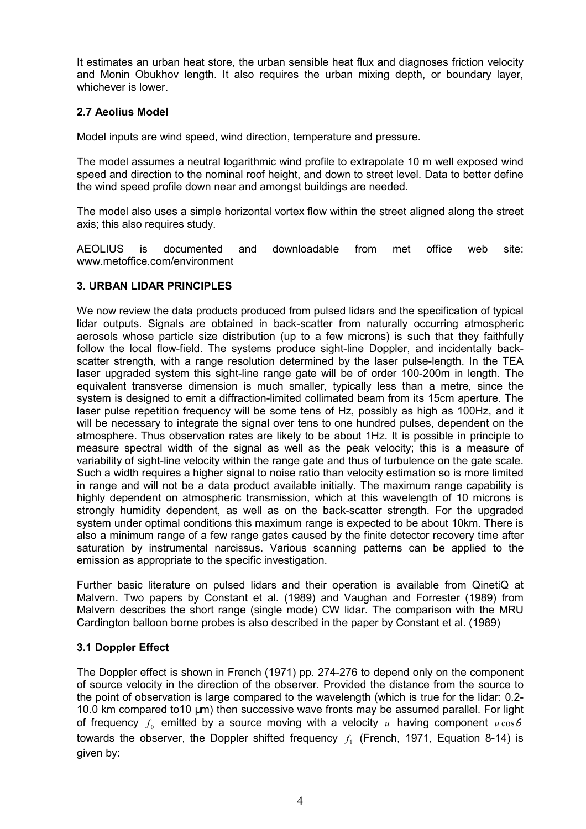It estimates an urban heat store, the urban sensible heat flux and diagnoses friction velocity and Monin Obukhov length. It also requires the urban mixing depth, or boundary layer, whichever is lower.

## **2.7 Aeolius Model**

Model inputs are wind speed, wind direction, temperature and pressure.

The model assumes a neutral logarithmic wind profile to extrapolate 10 m well exposed wind speed and direction to the nominal roof height, and down to street level. Data to better define the wind speed profile down near and amongst buildings are needed.

The model also uses a simple horizontal vortex flow within the street aligned along the street axis; this also requires study.

AEOLIUS is documented and downloadable from met office web site: www.metoffice.com/environment

## **3. URBAN LIDAR PRINCIPLES**

We now review the data products produced from pulsed lidars and the specification of typical lidar outputs. Signals are obtained in back-scatter from naturally occurring atmospheric aerosols whose particle size distribution (up to a few microns) is such that they faithfully follow the local flow-field. The systems produce sight-line Doppler, and incidentally backscatter strength, with a range resolution determined by the laser pulse-length. In the TEA laser upgraded system this sight-line range gate will be of order 100-200m in length. The equivalent transverse dimension is much smaller, typically less than a metre, since the system is designed to emit a diffraction-limited collimated beam from its 15cm aperture. The laser pulse repetition frequency will be some tens of Hz, possibly as high as 100Hz, and it will be necessary to integrate the signal over tens to one hundred pulses, dependent on the atmosphere. Thus observation rates are likely to be about 1Hz. It is possible in principle to measure spectral width of the signal as well as the peak velocity; this is a measure of variability of sight-line velocity within the range gate and thus of turbulence on the gate scale. Such a width requires a higher signal to noise ratio than velocity estimation so is more limited in range and will not be a data product available initially. The maximum range capability is highly dependent on atmospheric transmission, which at this wavelength of 10 microns is strongly humidity dependent, as well as on the back-scatter strength. For the upgraded system under optimal conditions this maximum range is expected to be about 10km. There is also a minimum range of a few range gates caused by the finite detector recovery time after saturation by instrumental narcissus. Various scanning patterns can be applied to the emission as appropriate to the specific investigation.

Further basic literature on pulsed lidars and their operation is available from QinetiQ at Malvern. Two papers by Constant et al. (1989) and Vaughan and Forrester (1989) from Malvern describes the short range (single mode) CW lidar. The comparison with the MRU Cardington balloon borne probes is also described in the paper by Constant et al. (1989)

## **3.1 Doppler Effect**

The Doppler effect is shown in French (1971) pp. 274-276 to depend only on the component of source velocity in the direction of the observer. Provided the distance from the source to the point of observation is large compared to the wavelength (which is true for the lidar: 0.2- 10.0 km compared to10 µm) then successive wave fronts may be assumed parallel. For light of frequency  $f_0$  emitted by a source moving with a velocity *u* having component  $u \cos \theta$ towards the observer, the Doppler shifted frequency  $f_i$  (French, 1971, Equation 8-14) is given by: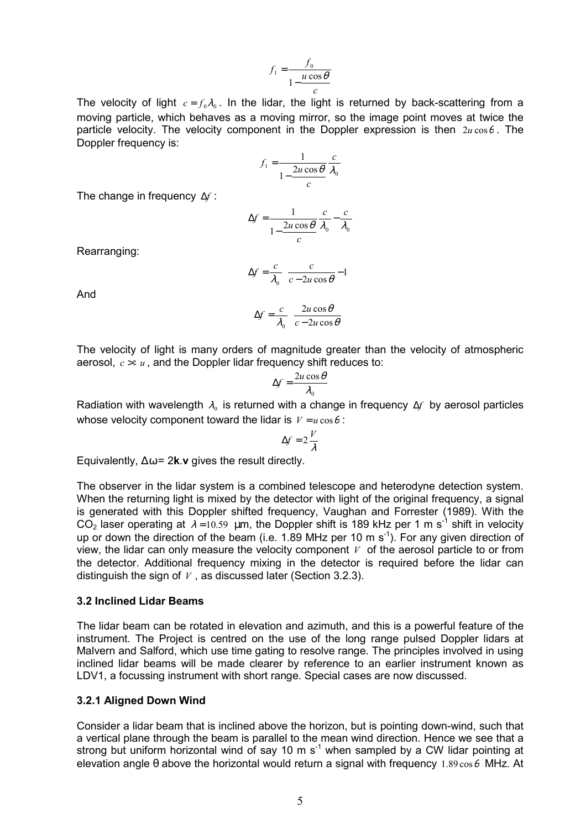$$
f_1 = \frac{f_0}{1 - \frac{u \cos \theta}{c}}
$$

The velocity of light  $c = f_0 \lambda_0$ . In the lidar, the light is returned by back-scattering from a moving particle, which behaves as a moving mirror, so the image point moves at twice the particle velocity. The velocity component in the Doppler expression is then  $2u\cos\theta$ . The Doppler frequency is:

$$
f_1 = \frac{1}{1 - \frac{2u\cos\theta}{c}} \frac{c}{\lambda_0}
$$

The change in frequency ∆*f* :

$$
\Delta f = \frac{1}{1 - \frac{2u\cos\theta}{c}} \frac{c}{\lambda_0} - \frac{c}{\lambda_0}
$$

Rearranging:

$$
\Delta f = \frac{c}{\lambda_0} \left( \frac{c}{c - 2u \cos \theta} - 1 \right)
$$

And

$$
\Delta f = \frac{c}{\lambda_0} \left( \frac{2u \cos \theta}{c - 2u \cos \theta} \right)
$$

The velocity of light is many orders of magnitude greater than the velocity of atmospheric aerosol,  $c \gg u$ , and the Doppler lidar frequency shift reduces to:

$$
\Delta f = \frac{2u\cos\theta}{\lambda_0}
$$

Radiation with wavelength  $\lambda_0$  is returned with a change in frequency ∆*f* by aerosol particles whose velocity component toward the lidar is  $V = u \cos \theta$ :

$$
\Delta f = 2\frac{V}{\lambda}
$$

Equivalently, ∆ω = 2**k**.**v** gives the result directly.

The observer in the lidar system is a combined telescope and heterodyne detection system. When the returning light is mixed by the detector with light of the original frequency, a signal is generated with this Doppler shifted frequency, Vaughan and Forrester (1989). With the  $CO<sub>2</sub>$  laser operating at  $\lambda = 10.59$  µm, the Doppler shift is 189 kHz per 1 m s<sup>-1</sup> shift in velocity up or down the direction of the beam (i.e. 1.89 MHz per 10 m  $s^{-1}$ ). For any given direction of view, the lidar can only measure the velocity component *V* of the aerosol particle to or from the detector. Additional frequency mixing in the detector is required before the lidar can distinguish the sign of *V* , as discussed later (Section 3.2.3).

#### **3.2 Inclined Lidar Beams**

The lidar beam can be rotated in elevation and azimuth, and this is a powerful feature of the instrument. The Project is centred on the use of the long range pulsed Doppler lidars at Malvern and Salford, which use time gating to resolve range. The principles involved in using inclined lidar beams will be made clearer by reference to an earlier instrument known as LDV1, a focussing instrument with short range. Special cases are now discussed.

#### **3.2.1 Aligned Down Wind**

Consider a lidar beam that is inclined above the horizon, but is pointing down-wind, such that a vertical plane through the beam is parallel to the mean wind direction. Hence we see that a strong but uniform horizontal wind of say 10 m  $s^{-1}$  when sampled by a CW lidar pointing at elevation angle  $\theta$  above the horizontal would return a signal with frequency 1.89  $\cos\theta$  MHz. At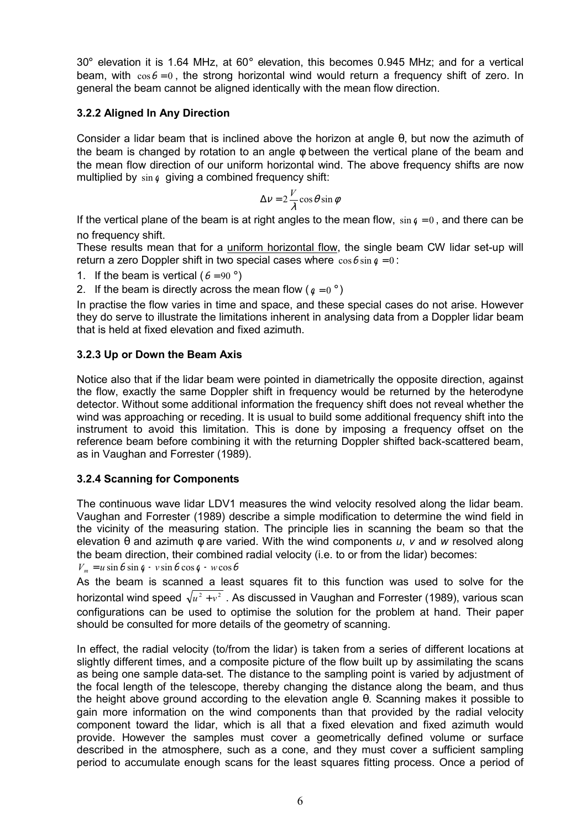$30^\circ$  elevation it is 1.64 MHz, at 60 $^\circ$  elevation, this becomes 0.945 MHz; and for a vertical beam, with  $\cos\theta = 0$ , the strong horizontal wind would return a frequency shift of zero. In general the beam cannot be aligned identically with the mean flow direction.

## **3.2.2 Aligned In Any Direction**

Consider a lidar beam that is inclined above the horizon at angle θ, but now the azimuth of the beam is changed by rotation to an angle φ between the vertical plane of the beam and the mean flow direction of our uniform horizontal wind. The above frequency shifts are now multiplied by  $\sin \phi$  giving a combined frequency shift:

$$
\Delta v = 2\frac{V}{\lambda}\cos\theta\sin\phi
$$

If the vertical plane of the beam is at right angles to the mean flow,  $\sin \theta = 0$ , and there can be no frequency shift.

These results mean that for a uniform horizontal flow, the single beam CW lidar set-up will return a zero Doppler shift in two special cases where  $\cos\theta \sin \theta = 0$ :

1. If the beam is vertical ( $\theta = 90^\circ$ )

2. If the beam is directly across the mean flow ( $q = 0^{\circ}$ )

In practise the flow varies in time and space, and these special cases do not arise. However they do serve to illustrate the limitations inherent in analysing data from a Doppler lidar beam that is held at fixed elevation and fixed azimuth.

## **3.2.3 Up or Down the Beam Axis**

Notice also that if the lidar beam were pointed in diametrically the opposite direction, against the flow, exactly the same Doppler shift in frequency would be returned by the heterodyne detector. Without some additional information the frequency shift does not reveal whether the wind was approaching or receding. It is usual to build some additional frequency shift into the instrument to avoid this limitation. This is done by imposing a frequency offset on the reference beam before combining it with the returning Doppler shifted back-scattered beam, as in Vaughan and Forrester (1989).

## **3.2.4 Scanning for Components**

The continuous wave lidar LDV1 measures the wind velocity resolved along the lidar beam. Vaughan and Forrester (1989) describe a simple modification to determine the wind field in the vicinity of the measuring station. The principle lies in scanning the beam so that the elevation θ and azimuth φ are varied. With the wind components *u*, *v* and *w* resolved along the beam direction, their combined radial velocity (i.e. to or from the lidar) becomes:

 $V_m = u \sin \theta \sin \theta + v \sin \theta \cos \theta + w \cos \theta$ 

As the beam is scanned a least squares fit to this function was used to solve for the horizontal wind speed  $\sqrt{u^2 + v^2}$ . As discussed in Vaughan and Forrester (1989), various scan configurations can be used to optimise the solution for the problem at hand. Their paper should be consulted for more details of the geometry of scanning.

In effect, the radial velocity (to/from the lidar) is taken from a series of different locations at slightly different times, and a composite picture of the flow built up by assimilating the scans as being one sample data-set. The distance to the sampling point is varied by adjustment of the focal length of the telescope, thereby changing the distance along the beam, and thus the height above ground according to the elevation angle θ. Scanning makes it possible to gain more information on the wind components than that provided by the radial velocity component toward the lidar, which is all that a fixed elevation and fixed azimuth would provide. However the samples must cover a geometrically defined volume or surface described in the atmosphere, such as a cone, and they must cover a sufficient sampling period to accumulate enough scans for the least squares fitting process. Once a period of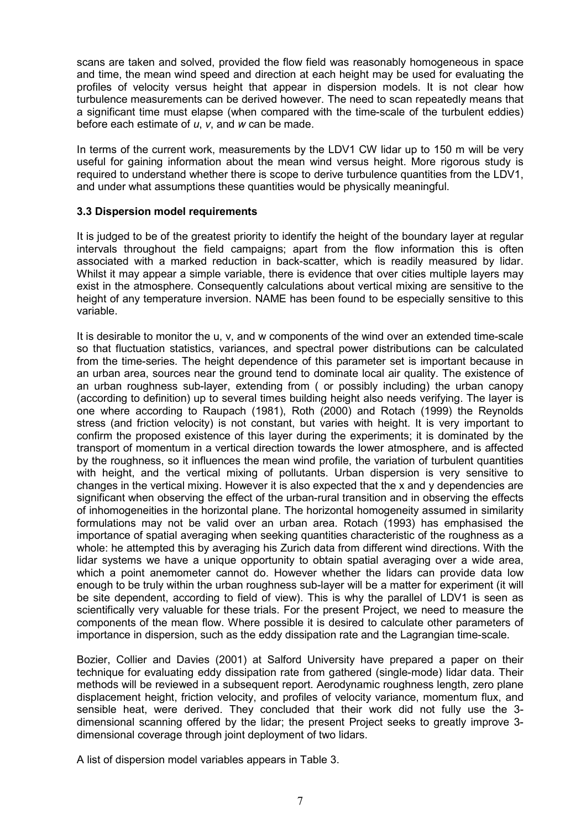scans are taken and solved, provided the flow field was reasonably homogeneous in space and time, the mean wind speed and direction at each height may be used for evaluating the profiles of velocity versus height that appear in dispersion models. It is not clear how turbulence measurements can be derived however. The need to scan repeatedly means that a significant time must elapse (when compared with the time-scale of the turbulent eddies) before each estimate of *u*, *v*, and *w* can be made.

In terms of the current work, measurements by the LDV1 CW lidar up to 150 m will be very useful for gaining information about the mean wind versus height. More rigorous study is required to understand whether there is scope to derive turbulence quantities from the LDV1, and under what assumptions these quantities would be physically meaningful.

### **3.3 Dispersion model requirements**

It is judged to be of the greatest priority to identify the height of the boundary layer at regular intervals throughout the field campaigns; apart from the flow information this is often associated with a marked reduction in back-scatter, which is readily measured by lidar. Whilst it may appear a simple variable, there is evidence that over cities multiple layers may exist in the atmosphere. Consequently calculations about vertical mixing are sensitive to the height of any temperature inversion. NAME has been found to be especially sensitive to this variable.

It is desirable to monitor the u, v, and w components of the wind over an extended time-scale so that fluctuation statistics, variances, and spectral power distributions can be calculated from the time-series. The height dependence of this parameter set is important because in an urban area, sources near the ground tend to dominate local air quality. The existence of an urban roughness sub-layer, extending from ( or possibly including) the urban canopy (according to definition) up to several times building height also needs verifying. The layer is one where according to Raupach (1981), Roth (2000) and Rotach (1999) the Reynolds stress (and friction velocity) is not constant, but varies with height. It is very important to confirm the proposed existence of this layer during the experiments; it is dominated by the transport of momentum in a vertical direction towards the lower atmosphere, and is affected by the roughness, so it influences the mean wind profile, the variation of turbulent quantities with height, and the vertical mixing of pollutants. Urban dispersion is very sensitive to changes in the vertical mixing. However it is also expected that the x and y dependencies are significant when observing the effect of the urban-rural transition and in observing the effects of inhomogeneities in the horizontal plane. The horizontal homogeneity assumed in similarity formulations may not be valid over an urban area. Rotach (1993) has emphasised the importance of spatial averaging when seeking quantities characteristic of the roughness as a whole: he attempted this by averaging his Zurich data from different wind directions. With the lidar systems we have a unique opportunity to obtain spatial averaging over a wide area, which a point anemometer cannot do. However whether the lidars can provide data low enough to be truly within the urban roughness sub-layer will be a matter for experiment (it will be site dependent, according to field of view). This is why the parallel of LDV1 is seen as scientifically very valuable for these trials. For the present Project, we need to measure the components of the mean flow. Where possible it is desired to calculate other parameters of importance in dispersion, such as the eddy dissipation rate and the Lagrangian time-scale.

Bozier, Collier and Davies (2001) at Salford University have prepared a paper on their technique for evaluating eddy dissipation rate from gathered (single-mode) lidar data. Their methods will be reviewed in a subsequent report. Aerodynamic roughness length, zero plane displacement height, friction velocity, and profiles of velocity variance, momentum flux, and sensible heat, were derived. They concluded that their work did not fully use the 3 dimensional scanning offered by the lidar; the present Project seeks to greatly improve 3 dimensional coverage through joint deployment of two lidars.

A list of dispersion model variables appears in Table 3.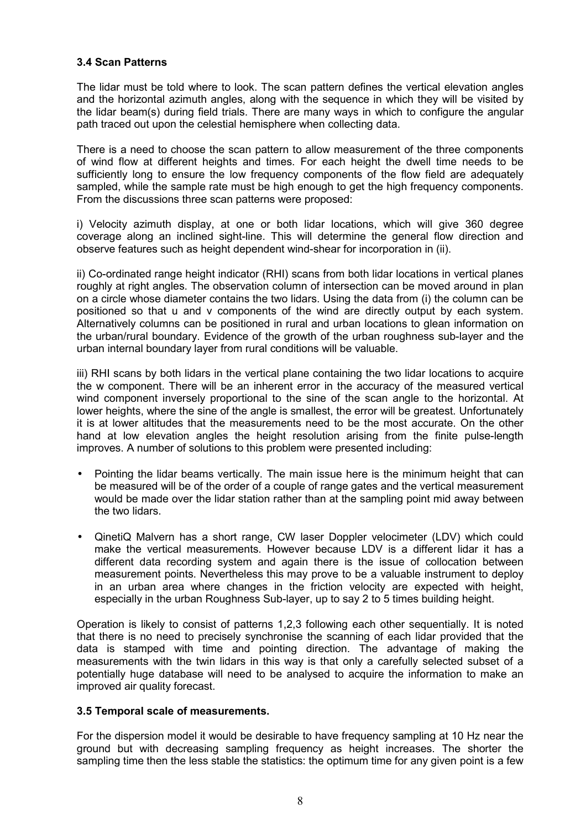### **3.4 Scan Patterns**

The lidar must be told where to look. The scan pattern defines the vertical elevation angles and the horizontal azimuth angles, along with the sequence in which they will be visited by the lidar beam(s) during field trials. There are many ways in which to configure the angular path traced out upon the celestial hemisphere when collecting data.

There is a need to choose the scan pattern to allow measurement of the three components of wind flow at different heights and times. For each height the dwell time needs to be sufficiently long to ensure the low frequency components of the flow field are adequately sampled, while the sample rate must be high enough to get the high frequency components. From the discussions three scan patterns were proposed:

i) Velocity azimuth display, at one or both lidar locations, which will give 360 degree coverage along an inclined sight-line. This will determine the general flow direction and observe features such as height dependent wind-shear for incorporation in (ii).

ii) Co-ordinated range height indicator (RHI) scans from both lidar locations in vertical planes roughly at right angles. The observation column of intersection can be moved around in plan on a circle whose diameter contains the two lidars. Using the data from (i) the column can be positioned so that u and v components of the wind are directly output by each system. Alternatively columns can be positioned in rural and urban locations to glean information on the urban/rural boundary. Evidence of the growth of the urban roughness sub-layer and the urban internal boundary layer from rural conditions will be valuable.

iii) RHI scans by both lidars in the vertical plane containing the two lidar locations to acquire the w component. There will be an inherent error in the accuracy of the measured vertical wind component inversely proportional to the sine of the scan angle to the horizontal. At lower heights, where the sine of the angle is smallest, the error will be greatest. Unfortunately it is at lower altitudes that the measurements need to be the most accurate. On the other hand at low elevation angles the height resolution arising from the finite pulse-length improves. A number of solutions to this problem were presented including:

- Pointing the lidar beams vertically. The main issue here is the minimum height that can be measured will be of the order of a couple of range gates and the vertical measurement would be made over the lidar station rather than at the sampling point mid away between the two lidars.
- QinetiQ Malvern has a short range, CW laser Doppler velocimeter (LDV) which could make the vertical measurements. However because LDV is a different lidar it has a different data recording system and again there is the issue of collocation between measurement points. Nevertheless this may prove to be a valuable instrument to deploy in an urban area where changes in the friction velocity are expected with height, especially in the urban Roughness Sub-layer, up to say 2 to 5 times building height.

Operation is likely to consist of patterns 1,2,3 following each other sequentially. It is noted that there is no need to precisely synchronise the scanning of each lidar provided that the data is stamped with time and pointing direction. The advantage of making the measurements with the twin lidars in this way is that only a carefully selected subset of a potentially huge database will need to be analysed to acquire the information to make an improved air quality forecast.

### **3.5 Temporal scale of measurements.**

For the dispersion model it would be desirable to have frequency sampling at 10 Hz near the ground but with decreasing sampling frequency as height increases. The shorter the sampling time then the less stable the statistics: the optimum time for any given point is a few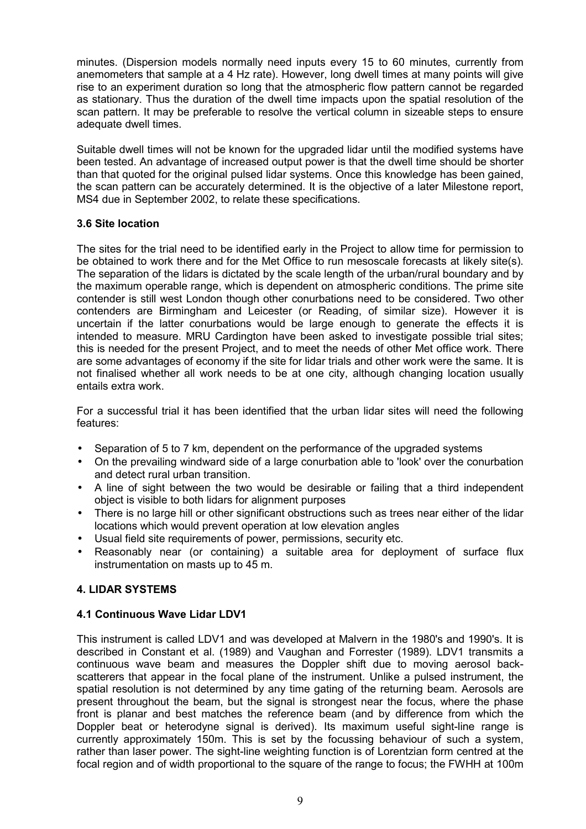minutes. (Dispersion models normally need inputs every 15 to 60 minutes, currently from anemometers that sample at a 4 Hz rate). However, long dwell times at many points will give rise to an experiment duration so long that the atmospheric flow pattern cannot be regarded as stationary. Thus the duration of the dwell time impacts upon the spatial resolution of the scan pattern. It may be preferable to resolve the vertical column in sizeable steps to ensure adequate dwell times.

Suitable dwell times will not be known for the upgraded lidar until the modified systems have been tested. An advantage of increased output power is that the dwell time should be shorter than that quoted for the original pulsed lidar systems. Once this knowledge has been gained, the scan pattern can be accurately determined. It is the objective of a later Milestone report, MS4 due in September 2002, to relate these specifications.

### **3.6 Site location**

The sites for the trial need to be identified early in the Project to allow time for permission to be obtained to work there and for the Met Office to run mesoscale forecasts at likely site(s). The separation of the lidars is dictated by the scale length of the urban/rural boundary and by the maximum operable range, which is dependent on atmospheric conditions. The prime site contender is still west London though other conurbations need to be considered. Two other contenders are Birmingham and Leicester (or Reading, of similar size). However it is uncertain if the latter conurbations would be large enough to generate the effects it is intended to measure. MRU Cardington have been asked to investigate possible trial sites; this is needed for the present Project, and to meet the needs of other Met office work. There are some advantages of economy if the site for lidar trials and other work were the same. It is not finalised whether all work needs to be at one city, although changing location usually entails extra work.

For a successful trial it has been identified that the urban lidar sites will need the following features:

- Separation of 5 to 7 km, dependent on the performance of the upgraded systems
- On the prevailing windward side of a large conurbation able to 'look' over the conurbation and detect rural urban transition.
- A line of sight between the two would be desirable or failing that a third independent object is visible to both lidars for alignment purposes
- There is no large hill or other significant obstructions such as trees near either of the lidar locations which would prevent operation at low elevation angles
- Usual field site requirements of power, permissions, security etc.
- Reasonably near (or containing) a suitable area for deployment of surface flux instrumentation on masts up to 45 m.

## **4. LIDAR SYSTEMS**

## **4.1 Continuous Wave Lidar LDV1**

This instrument is called LDV1 and was developed at Malvern in the 1980's and 1990's. It is described in Constant et al. (1989) and Vaughan and Forrester (1989). LDV1 transmits a continuous wave beam and measures the Doppler shift due to moving aerosol backscatterers that appear in the focal plane of the instrument. Unlike a pulsed instrument, the spatial resolution is not determined by any time gating of the returning beam. Aerosols are present throughout the beam, but the signal is strongest near the focus, where the phase front is planar and best matches the reference beam (and by difference from which the Doppler beat or heterodyne signal is derived). Its maximum useful sight-line range is currently approximately 150m. This is set by the focussing behaviour of such a system, rather than laser power. The sight-line weighting function is of Lorentzian form centred at the focal region and of width proportional to the square of the range to focus; the FWHH at 100m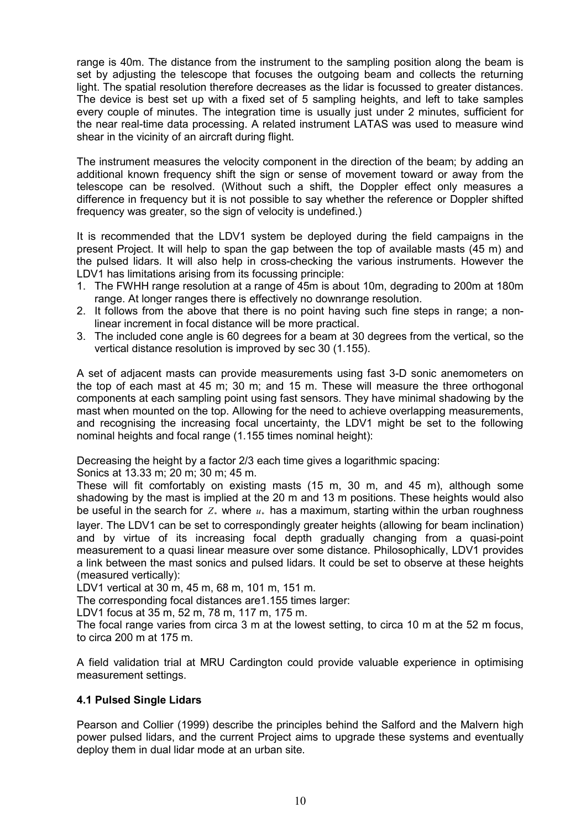range is 40m. The distance from the instrument to the sampling position along the beam is set by adjusting the telescope that focuses the outgoing beam and collects the returning light. The spatial resolution therefore decreases as the lidar is focussed to greater distances. The device is best set up with a fixed set of 5 sampling heights, and left to take samples every couple of minutes. The integration time is usually just under 2 minutes, sufficient for the near real-time data processing. A related instrument LATAS was used to measure wind shear in the vicinity of an aircraft during flight.

The instrument measures the velocity component in the direction of the beam; by adding an additional known frequency shift the sign or sense of movement toward or away from the telescope can be resolved. (Without such a shift, the Doppler effect only measures a difference in frequency but it is not possible to say whether the reference or Doppler shifted frequency was greater, so the sign of velocity is undefined.)

It is recommended that the LDV1 system be deployed during the field campaigns in the present Project. It will help to span the gap between the top of available masts (45 m) and the pulsed lidars. It will also help in cross-checking the various instruments. However the LDV1 has limitations arising from its focussing principle:

- 1. The FWHH range resolution at a range of 45m is about 10m, degrading to 200m at 180m range. At longer ranges there is effectively no downrange resolution.
- 2. It follows from the above that there is no point having such fine steps in range; a nonlinear increment in focal distance will be more practical.
- 3. The included cone angle is 60 degrees for a beam at 30 degrees from the vertical, so the vertical distance resolution is improved by sec 30 (1.155).

A set of adjacent masts can provide measurements using fast 3-D sonic anemometers on the top of each mast at 45 m; 30 m; and 15 m. These will measure the three orthogonal components at each sampling point using fast sensors. They have minimal shadowing by the mast when mounted on the top. Allowing for the need to achieve overlapping measurements, and recognising the increasing focal uncertainty, the LDV1 might be set to the following nominal heights and focal range (1.155 times nominal height):

Decreasing the height by a factor 2/3 each time gives a logarithmic spacing:

Sonics at 13.33 m; 20 m; 30 m; 45 m.

These will fit comfortably on existing masts (15 m, 30 m, and 45 m), although some shadowing by the mast is implied at the 20 m and 13 m positions. These heights would also be useful in the search for  $Z_*$  where  $u_*$  has a maximum, starting within the urban roughness layer. The LDV1 can be set to correspondingly greater heights (allowing for beam inclination) and by virtue of its increasing focal depth gradually changing from a quasi-point measurement to a quasi linear measure over some distance. Philosophically, LDV1 provides a link between the mast sonics and pulsed lidars. It could be set to observe at these heights (measured vertically):

LDV1 vertical at 30 m, 45 m, 68 m, 101 m, 151 m.

The corresponding focal distances are1.155 times larger:

LDV1 focus at 35 m, 52 m, 78 m, 117 m, 175 m.

The focal range varies from circa 3 m at the lowest setting, to circa 10 m at the 52 m focus, to circa 200 m at 175 m.

A field validation trial at MRU Cardington could provide valuable experience in optimising measurement settings.

### **4.1 Pulsed Single Lidars**

Pearson and Collier (1999) describe the principles behind the Salford and the Malvern high power pulsed lidars, and the current Project aims to upgrade these systems and eventually deploy them in dual lidar mode at an urban site.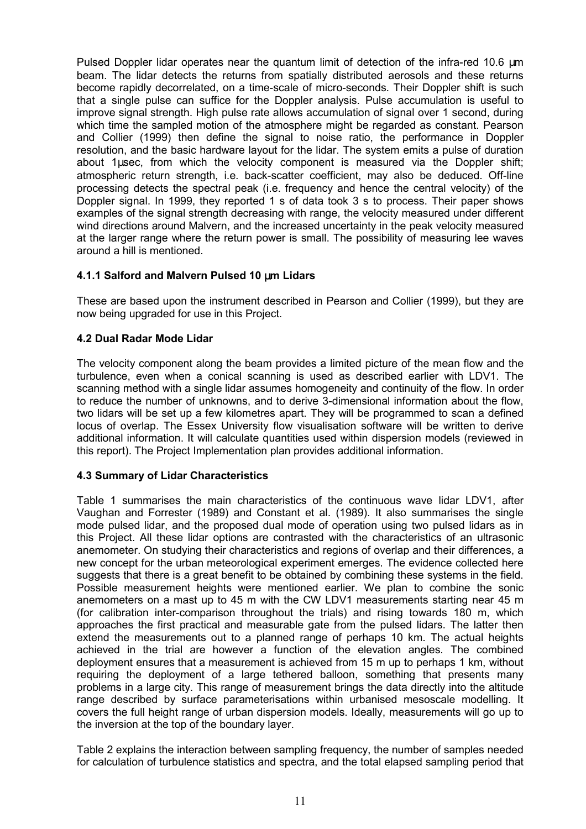Pulsed Doppler lidar operates near the quantum limit of detection of the infra-red 10.6 µm beam. The lidar detects the returns from spatially distributed aerosols and these returns become rapidly decorrelated, on a time-scale of micro-seconds. Their Doppler shift is such that a single pulse can suffice for the Doppler analysis. Pulse accumulation is useful to improve signal strength. High pulse rate allows accumulation of signal over 1 second, during which time the sampled motion of the atmosphere might be regarded as constant. Pearson and Collier (1999) then define the signal to noise ratio, the performance in Doppler resolution, and the basic hardware layout for the lidar. The system emits a pulse of duration about 1µsec, from which the velocity component is measured via the Doppler shift; atmospheric return strength, i.e. back-scatter coefficient, may also be deduced. Off-line processing detects the spectral peak (i.e. frequency and hence the central velocity) of the Doppler signal. In 1999, they reported 1 s of data took 3 s to process. Their paper shows examples of the signal strength decreasing with range, the velocity measured under different wind directions around Malvern, and the increased uncertainty in the peak velocity measured at the larger range where the return power is small. The possibility of measuring lee waves around a hill is mentioned.

### **4.1.1 Salford and Malvern Pulsed 10** µ**m Lidars**

These are based upon the instrument described in Pearson and Collier (1999), but they are now being upgraded for use in this Project.

### **4.2 Dual Radar Mode Lidar**

The velocity component along the beam provides a limited picture of the mean flow and the turbulence, even when a conical scanning is used as described earlier with LDV1. The scanning method with a single lidar assumes homogeneity and continuity of the flow. In order to reduce the number of unknowns, and to derive 3-dimensional information about the flow, two lidars will be set up a few kilometres apart. They will be programmed to scan a defined locus of overlap. The Essex University flow visualisation software will be written to derive additional information. It will calculate quantities used within dispersion models (reviewed in this report). The Project Implementation plan provides additional information.

### **4.3 Summary of Lidar Characteristics**

Table 1 summarises the main characteristics of the continuous wave lidar LDV1, after Vaughan and Forrester (1989) and Constant et al. (1989). It also summarises the single mode pulsed lidar, and the proposed dual mode of operation using two pulsed lidars as in this Project. All these lidar options are contrasted with the characteristics of an ultrasonic anemometer. On studying their characteristics and regions of overlap and their differences, a new concept for the urban meteorological experiment emerges. The evidence collected here suggests that there is a great benefit to be obtained by combining these systems in the field. Possible measurement heights were mentioned earlier. We plan to combine the sonic anemometers on a mast up to 45 m with the CW LDV1 measurements starting near 45 m (for calibration inter-comparison throughout the trials) and rising towards 180 m, which approaches the first practical and measurable gate from the pulsed lidars. The latter then extend the measurements out to a planned range of perhaps 10 km. The actual heights achieved in the trial are however a function of the elevation angles. The combined deployment ensures that a measurement is achieved from 15 m up to perhaps 1 km, without requiring the deployment of a large tethered balloon, something that presents many problems in a large city. This range of measurement brings the data directly into the altitude range described by surface parameterisations within urbanised mesoscale modelling. It covers the full height range of urban dispersion models. Ideally, measurements will go up to the inversion at the top of the boundary layer.

Table 2 explains the interaction between sampling frequency, the number of samples needed for calculation of turbulence statistics and spectra, and the total elapsed sampling period that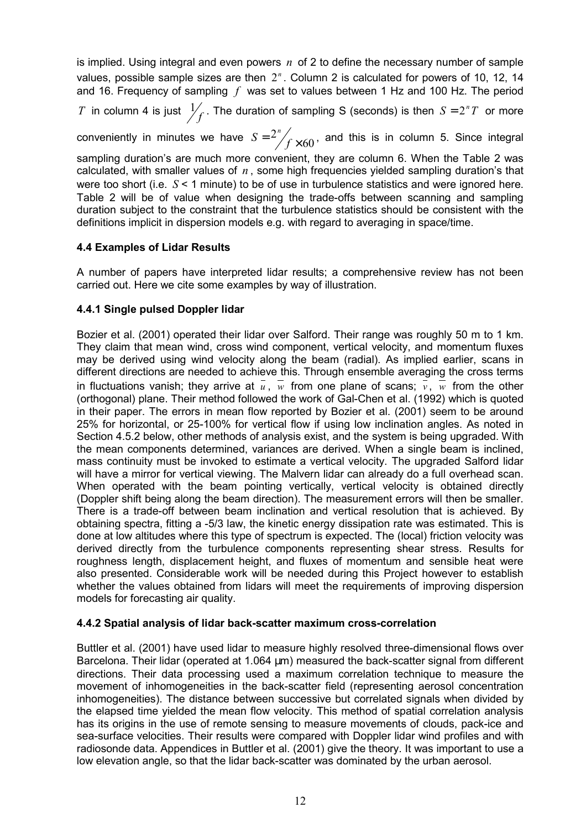is implied. Using integral and even powers *n* of 2 to define the necessary number of sample values, possible sample sizes are then  $2<sup>n</sup>$ . Column 2 is calculated for powers of 10, 12, 14 and 16. Frequency of sampling *f* was set to values between 1 Hz and 100 Hz. The period

*T* in column 4 is just  $\frac{1}{f}$ . The duration of sampling S (seconds) is then  $S = 2^nT$  or more

conveniently in minutes we have  $S = \frac{2^n}{f} \times 60$ , and this is in column 5. Since integral

sampling duration's are much more convenient, they are column 6. When the Table 2 was calculated, with smaller values of *n* , some high frequencies yielded sampling duration's that were too short (i.e. *S* < 1 minute) to be of use in turbulence statistics and were ignored here. Table 2 will be of value when designing the trade-offs between scanning and sampling duration subject to the constraint that the turbulence statistics should be consistent with the definitions implicit in dispersion models e.g. with regard to averaging in space/time.

### **4.4 Examples of Lidar Results**

A number of papers have interpreted lidar results; a comprehensive review has not been carried out. Here we cite some examples by way of illustration.

### **4.4.1 Single pulsed Doppler lidar**

Bozier et al. (2001) operated their lidar over Salford. Their range was roughly 50 m to 1 km. They claim that mean wind, cross wind component, vertical velocity, and momentum fluxes may be derived using wind velocity along the beam (radial). As implied earlier, scans in different directions are needed to achieve this. Through ensemble averaging the cross terms in fluctuations vanish; they arrive at  $\overline{u}$ ,  $\overline{w}$  from one plane of scans;  $\overline{v}$ ,  $\overline{w}$  from the other (orthogonal) plane. Their method followed the work of Gal-Chen et al. (1992) which is quoted in their paper. The errors in mean flow reported by Bozier et al. (2001) seem to be around 25% for horizontal, or 25-100% for vertical flow if using low inclination angles. As noted in Section 4.5.2 below, other methods of analysis exist, and the system is being upgraded. With the mean components determined, variances are derived. When a single beam is inclined, mass continuity must be invoked to estimate a vertical velocity. The upgraded Salford lidar will have a mirror for vertical viewing. The Malvern lidar can already do a full overhead scan. When operated with the beam pointing vertically, vertical velocity is obtained directly (Doppler shift being along the beam direction). The measurement errors will then be smaller. There is a trade-off between beam inclination and vertical resolution that is achieved. By obtaining spectra, fitting a -5/3 law, the kinetic energy dissipation rate was estimated. This is done at low altitudes where this type of spectrum is expected. The (local) friction velocity was derived directly from the turbulence components representing shear stress. Results for roughness length, displacement height, and fluxes of momentum and sensible heat were also presented. Considerable work will be needed during this Project however to establish whether the values obtained from lidars will meet the requirements of improving dispersion models for forecasting air quality.

### **4.4.2 Spatial analysis of lidar back-scatter maximum cross-correlation**

Buttler et al. (2001) have used lidar to measure highly resolved three-dimensional flows over Barcelona. Their lidar (operated at 1.064 µm) measured the back-scatter signal from different directions. Their data processing used a maximum correlation technique to measure the movement of inhomogeneities in the back-scatter field (representing aerosol concentration inhomogeneities). The distance between successive but correlated signals when divided by the elapsed time yielded the mean flow velocity. This method of spatial correlation analysis has its origins in the use of remote sensing to measure movements of clouds, pack-ice and sea-surface velocities. Their results were compared with Doppler lidar wind profiles and with radiosonde data. Appendices in Buttler et al. (2001) give the theory. It was important to use a low elevation angle, so that the lidar back-scatter was dominated by the urban aerosol.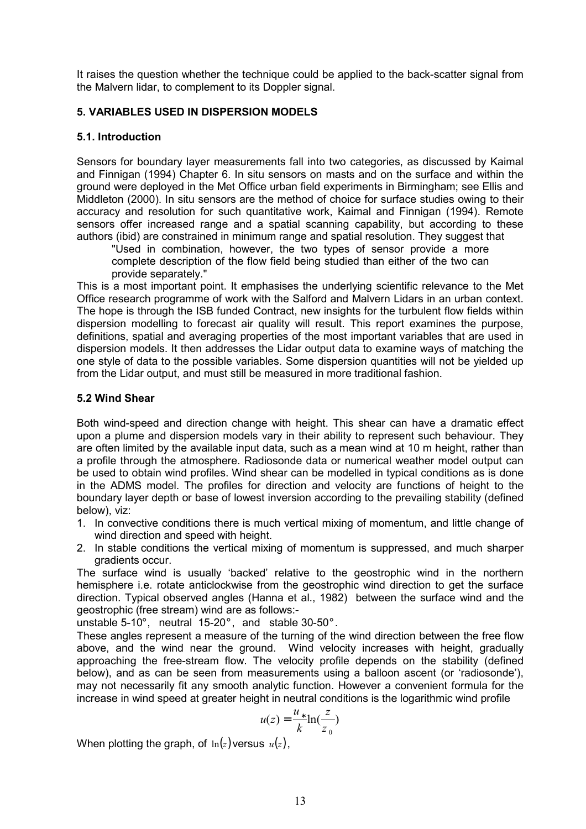It raises the question whether the technique could be applied to the back-scatter signal from the Malvern lidar, to complement to its Doppler signal.

### **5. VARIABLES USED IN DISPERSION MODELS**

### **5.1. Introduction**

Sensors for boundary layer measurements fall into two categories, as discussed by Kaimal and Finnigan (1994) Chapter 6. In situ sensors on masts and on the surface and within the ground were deployed in the Met Office urban field experiments in Birmingham; see Ellis and Middleton (2000). In situ sensors are the method of choice for surface studies owing to their accuracy and resolution for such quantitative work, Kaimal and Finnigan (1994). Remote sensors offer increased range and a spatial scanning capability, but according to these authors (ibid) are constrained in minimum range and spatial resolution. They suggest that

"Used in combination, however, the two types of sensor provide a more complete description of the flow field being studied than either of the two can provide separately."

This is a most important point. It emphasises the underlying scientific relevance to the Met Office research programme of work with the Salford and Malvern Lidars in an urban context. The hope is through the ISB funded Contract, new insights for the turbulent flow fields within dispersion modelling to forecast air quality will result. This report examines the purpose, definitions, spatial and averaging properties of the most important variables that are used in dispersion models. It then addresses the Lidar output data to examine ways of matching the one style of data to the possible variables. Some dispersion quantities will not be yielded up from the Lidar output, and must still be measured in more traditional fashion.

### **5.2 Wind Shear**

Both wind-speed and direction change with height. This shear can have a dramatic effect upon a plume and dispersion models vary in their ability to represent such behaviour. They are often limited by the available input data, such as a mean wind at 10 m height, rather than a profile through the atmosphere. Radiosonde data or numerical weather model output can be used to obtain wind profiles. Wind shear can be modelled in typical conditions as is done in the ADMS model. The profiles for direction and velocity are functions of height to the boundary layer depth or base of lowest inversion according to the prevailing stability (defined below), viz:

- 1. In convective conditions there is much vertical mixing of momentum, and little change of wind direction and speed with height.
- 2. In stable conditions the vertical mixing of momentum is suppressed, and much sharper gradients occur.

The surface wind is usually 'backed' relative to the geostrophic wind in the northern hemisphere i.e. rotate anticlockwise from the geostrophic wind direction to get the surface direction. Typical observed angles (Hanna et al., 1982) between the surface wind and the geostrophic (free stream) wind are as follows:-

unstable 5-10° , neutral 15-20° , and stable 30-50° .

These angles represent a measure of the turning of the wind direction between the free flow above, and the wind near the ground. Wind velocity increases with height, gradually approaching the free-stream flow. The velocity profile depends on the stability (defined below), and as can be seen from measurements using a balloon ascent (or 'radiosonde'), may not necessarily fit any smooth analytic function. However a convenient formula for the increase in wind speed at greater height in neutral conditions is the logarithmic wind profile

$$
u(z) = \frac{u_*}{k} \ln(\frac{z}{z_0})
$$

When plotting the graph, of  $ln(z)$  versus  $u(z)$ ,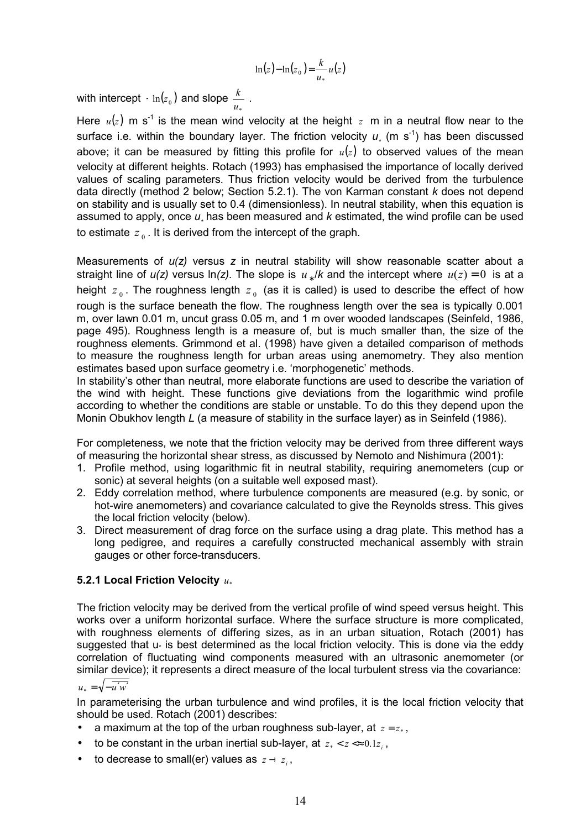$$
\ln(z) - \ln(z_0) = \frac{k}{u_*} u(z)
$$

with intercept  $\overline{\cdot}$  ln $(z_0)$  and slope  $\frac{\kappa}{u_*}$  $\frac{k}{\cdot}$  .

Here  $u(z)$  m s<sup>-1</sup> is the mean wind velocity at the height  $z$  m in a neutral flow near to the surface i.e. within the boundary layer. The friction velocity  $u_*$  (m s<sup>-1</sup>) has been discussed above; it can be measured by fitting this profile for  $u(z)$  to observed values of the mean velocity at different heights. Rotach (1993) has emphasised the importance of locally derived values of scaling parameters. Thus friction velocity would be derived from the turbulence data directly (method 2 below; Section 5.2.1). The von Karman constant *k* does not depend on stability and is usually set to 0.4 (dimensionless). In neutral stability, when this equation is assumed to apply, once  $u_*$  has been measured and  $k$  estimated, the wind profile can be used to estimate  $z_0$ . It is derived from the intercept of the graph.

Measurements of *u(z)* versus *z* in neutral stability will show reasonable scatter about a straight line of  $u(z)$  versus ln(z). The slope is  $u_*/k$  and the intercept where  $u(z) = 0$  is at a height  $z_0$ . The roughness length  $z_0$  (as it is called) is used to describe the effect of how rough is the surface beneath the flow. The roughness length over the sea is typically 0.001 m, over lawn 0.01 m, uncut grass 0.05 m, and 1 m over wooded landscapes (Seinfeld, 1986, page 495). Roughness length is a measure of, but is much smaller than, the size of the roughness elements. Grimmond et al. (1998) have given a detailed comparison of methods to measure the roughness length for urban areas using anemometry. They also mention estimates based upon surface geometry i.e. 'morphogenetic' methods.

In stability's other than neutral, more elaborate functions are used to describe the variation of the wind with height. These functions give deviations from the logarithmic wind profile according to whether the conditions are stable or unstable. To do this they depend upon the Monin Obukhov length *L* (a measure of stability in the surface layer) as in Seinfeld (1986).

For completeness, we note that the friction velocity may be derived from three different ways of measuring the horizontal shear stress, as discussed by Nemoto and Nishimura (2001):

- 1. Profile method, using logarithmic fit in neutral stability, requiring anemometers (cup or sonic) at several heights (on a suitable well exposed mast).
- 2. Eddy correlation method, where turbulence components are measured (e.g. by sonic, or hot-wire anemometers) and covariance calculated to give the Reynolds stress. This gives the local friction velocity (below).
- 3. Direct measurement of drag force on the surface using a drag plate. This method has a long pedigree, and requires a carefully constructed mechanical assembly with strain gauges or other force-transducers.

### **5.2.1 Local Friction Velocity**  $u_*$

The friction velocity may be derived from the vertical profile of wind speed versus height. This works over a uniform horizontal surface. Where the surface structure is more complicated, with roughness elements of differing sizes, as in an urban situation, Rotach (2001) has suggested that u<sub>\*</sub> is best determined as the local friction velocity. This is done via the eddy correlation of fluctuating wind components measured with an ultrasonic anemometer (or similar device); it represents a direct measure of the local turbulent stress via the covariance:

 $u_{\uparrow} = \sqrt{-u'w'}$ 

In parameterising the urban turbulence and wind profiles, it is the local friction velocity that should be used. Rotach (2001) describes:

- a maximum at the top of the urban roughness sub-layer, at  $z = z_*$ .
- to be constant in the urban inertial sub-layer, at  $z_* < z < 0.1z_0$ ,
- to decrease to small(er) values as  $z z_i$ ,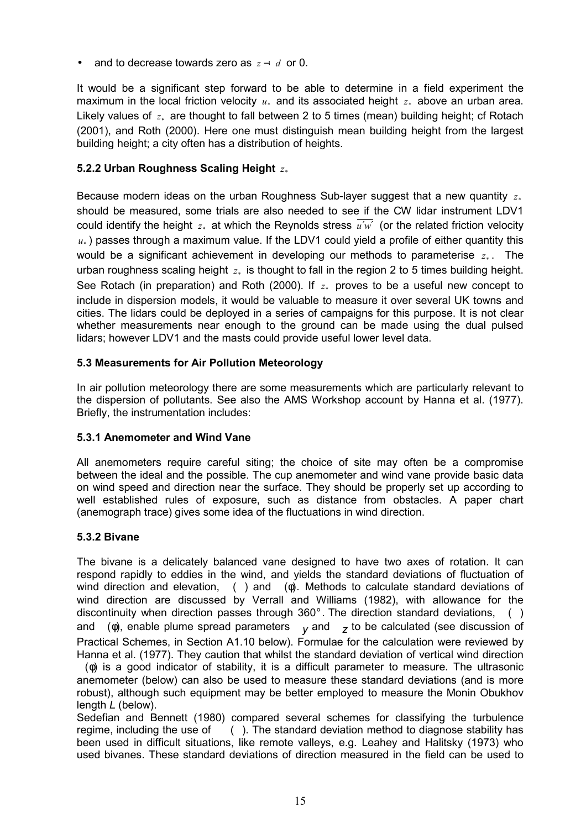and to decrease towards zero as  $z - d$  or 0.

It would be a significant step forward to be able to determine in a field experiment the maximum in the local friction velocity  $u_*$  and its associated height  $z_*$  above an urban area. Likely values of  $z<sub>*</sub>$  are thought to fall between 2 to 5 times (mean) building height; cf Rotach (2001), and Roth (2000). Here one must distinguish mean building height from the largest building height; a city often has a distribution of heights.

## **5.2.2 Urban Roughness Scaling Height**  $z_*$

Because modern ideas on the urban Roughness Sub-layer suggest that a new quantity  $z<sub>*</sub>$ should be measured, some trials are also needed to see if the CW lidar instrument LDV1 could identify the height  $z_*$  at which the Reynolds stress  $\overline{u'w'}$  (or the related friction velocity  $u_{\star}$ ) passes through a maximum value. If the LDV1 could yield a profile of either quantity this would be a significant achievement in developing our methods to parameterise  $z<sub>*</sub>$ . The urban roughness scaling height  $z_*$  is thought to fall in the region 2 to 5 times building height. See Rotach (in preparation) and Roth (2000). If  $z<sub>*</sub>$  proves to be a useful new concept to include in dispersion models, it would be valuable to measure it over several UK towns and cities. The lidars could be deployed in a series of campaigns for this purpose. It is not clear whether measurements near enough to the ground can be made using the dual pulsed lidars; however LDV1 and the masts could provide useful lower level data.

### **5.3 Measurements for Air Pollution Meteorology**

In air pollution meteorology there are some measurements which are particularly relevant to the dispersion of pollutants. See also the AMS Workshop account by Hanna et al. (1977). Briefly, the instrumentation includes:

## **5.3.1 Anemometer and Wind Vane**

All anemometers require careful siting; the choice of site may often be a compromise between the ideal and the possible. The cup anemometer and wind vane provide basic data on wind speed and direction near the surface. They should be properly set up according to well established rules of exposure, such as distance from obstacles. A paper chart (anemograph trace) gives some idea of the fluctuations in wind direction.

### **5.3.2 Bivane**

The bivane is a delicately balanced vane designed to have two axes of rotation. It can respond rapidly to eddies in the wind, and yields the standard deviations of fluctuation of wind direction and elevation, () and (φ). Methods to calculate standard deviations of wind direction are discussed by Verrall and Williams (1982), with allowance for the discontinuity when direction passes through 360°. The direction standard deviations, () and ( $\phi$ ), enable plume spread parameters  $V$  and  $Z$  to be calculated (see discussion of Practical Schemes, in Section A1.10 below). Formulae for the calculation were reviewed by Hanna et al. (1977). They caution that whilst the standard deviation of vertical wind direction

(φ) is a good indicator of stability, it is a difficult parameter to measure. The ultrasonic anemometer (below) can also be used to measure these standard deviations (and is more robust), although such equipment may be better employed to measure the Monin Obukhov length *L* (below).

Sedefian and Bennett (1980) compared several schemes for classifying the turbulence regime, including the use of (). The standard deviation method to diagnose stability has been used in difficult situations, like remote valleys, e.g. Leahey and Halitsky (1973) who used bivanes. These standard deviations of direction measured in the field can be used to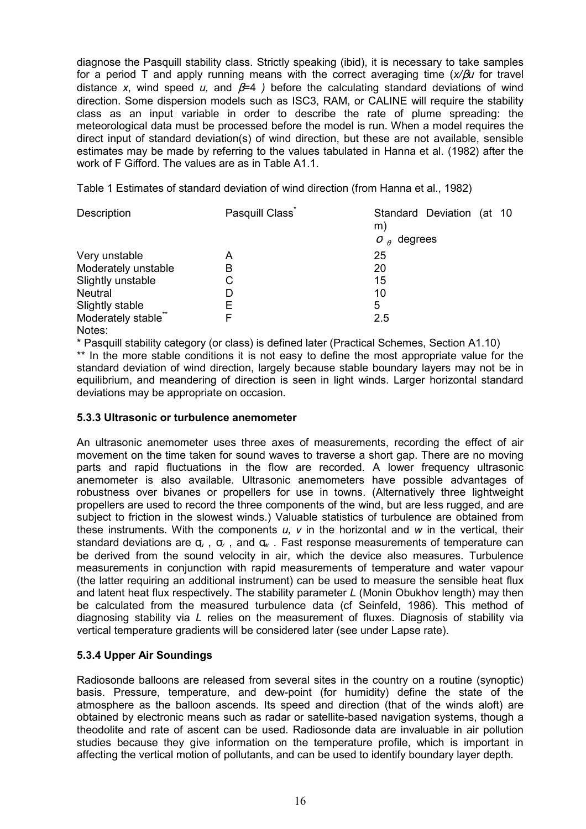diagnose the Pasquill stability class. Strictly speaking (ibid), it is necessary to take samples for a period T and apply running means with the correct averaging time (*x/*β*u* for travel distance *x*, wind speed *u,* and β=4 *)* before the calculating standard deviations of wind direction. Some dispersion models such as ISC3, RAM, or CALINE will require the stability class as an input variable in order to describe the rate of plume spreading: the meteorological data must be processed before the model is run. When a model requires the direct input of standard deviation(s) of wind direction, but these are not available, sensible estimates may be made by referring to the values tabulated in Hanna et al. (1982) after the work of F Gifford. The values are as in Table A1.1.

Table 1 Estimates of standard deviation of wind direction (from Hanna et al., 1982)

| Description         | Pasquill Class <sup>®</sup> | Standard Deviation (at 10<br>m)                    |
|---------------------|-----------------------------|----------------------------------------------------|
|                     |                             | degrees<br>$\sigma$ <sub><math>\theta</math></sub> |
| Very unstable       | А                           | 25                                                 |
| Moderately unstable | B                           | 20                                                 |
| Slightly unstable   | С                           | 15                                                 |
| <b>Neutral</b>      | D                           | 10                                                 |
| Slightly stable     | E                           | 5                                                  |
| Moderately stable"  | F                           | 2.5                                                |
| $N = + - -$         |                             |                                                    |

Notes:

\* Pasquill stability category (or class) is defined later (Practical Schemes, Section A1.10) \*\* In the more stable conditions it is not easy to define the most appropriate value for the standard deviation of wind direction, largely because stable boundary layers may not be in equilibrium, and meandering of direction is seen in light winds. Larger horizontal standard deviations may be appropriate on occasion.

### **5.3.3 Ultrasonic or turbulence anemometer**

An ultrasonic anemometer uses three axes of measurements, recording the effect of air movement on the time taken for sound waves to traverse a short gap. There are no moving parts and rapid fluctuations in the flow are recorded. A lower frequency ultrasonic anemometer is also available. Ultrasonic anemometers have possible advantages of robustness over bivanes or propellers for use in towns. (Alternatively three lightweight propellers are used to record the three components of the wind, but are less rugged, and are subject to friction in the slowest winds.) Valuable statistics of turbulence are obtained from these instruments. With the components *u, v* in the horizontal and *w* in the vertical, their standard deviations are σ*u* , σ*v* , and σ*w* . Fast response measurements of temperature can be derived from the sound velocity in air, which the device also measures. Turbulence measurements in conjunction with rapid measurements of temperature and water vapour (the latter requiring an additional instrument) can be used to measure the sensible heat flux and latent heat flux respectively. The stability parameter *L* (Monin Obukhov length) may then be calculated from the measured turbulence data (cf Seinfeld, 1986). This method of diagnosing stability via *L* relies on the measurement of fluxes. Diagnosis of stability via vertical temperature gradients will be considered later (see under Lapse rate).

## **5.3.4 Upper Air Soundings**

Radiosonde balloons are released from several sites in the country on a routine (synoptic) basis. Pressure, temperature, and dew-point (for humidity) define the state of the atmosphere as the balloon ascends. Its speed and direction (that of the winds aloft) are obtained by electronic means such as radar or satellite-based navigation systems, though a theodolite and rate of ascent can be used. Radiosonde data are invaluable in air pollution studies because they give information on the temperature profile, which is important in affecting the vertical motion of pollutants, and can be used to identify boundary layer depth.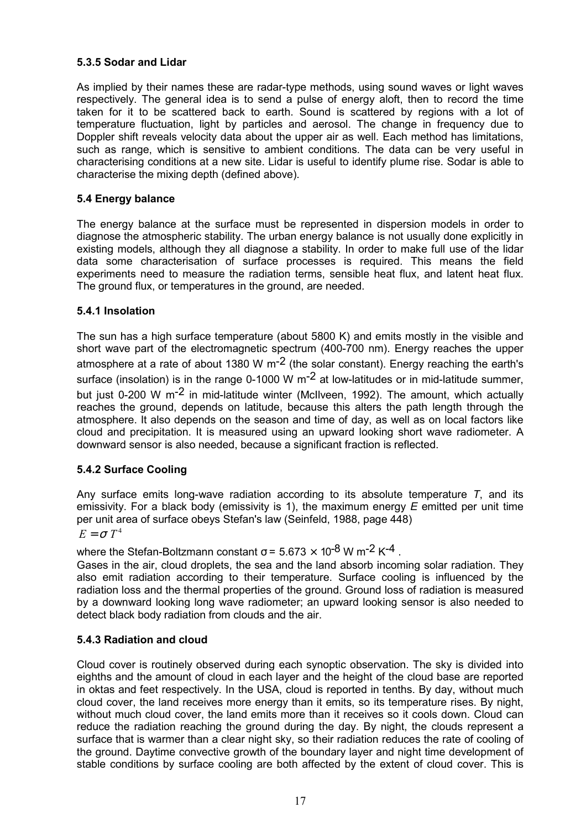## **5.3.5 Sodar and Lidar**

As implied by their names these are radar-type methods, using sound waves or light waves respectively. The general idea is to send a pulse of energy aloft, then to record the time taken for it to be scattered back to earth. Sound is scattered by regions with a lot of temperature fluctuation, light by particles and aerosol. The change in frequency due to Doppler shift reveals velocity data about the upper air as well. Each method has limitations, such as range, which is sensitive to ambient conditions. The data can be very useful in characterising conditions at a new site. Lidar is useful to identify plume rise. Sodar is able to characterise the mixing depth (defined above).

### **5.4 Energy balance**

The energy balance at the surface must be represented in dispersion models in order to diagnose the atmospheric stability. The urban energy balance is not usually done explicitly in existing models, although they all diagnose a stability. In order to make full use of the lidar data some characterisation of surface processes is required. This means the field experiments need to measure the radiation terms, sensible heat flux, and latent heat flux. The ground flux, or temperatures in the ground, are needed.

### **5.4.1 Insolation**

The sun has a high surface temperature (about 5800 K) and emits mostly in the visible and short wave part of the electromagnetic spectrum (400-700 nm). Energy reaches the upper atmosphere at a rate of about 1380 W  $\text{m}$ <sup>-2</sup> (the solar constant). Energy reaching the earth's surface (insolation) is in the range 0-1000 W  $\text{m}$ <sup>-2</sup> at low-latitudes or in mid-latitude summer, but just 0-200 W m-2 in mid-latitude winter (McIlveen, 1992). The amount, which actually reaches the ground, depends on latitude, because this alters the path length through the atmosphere. It also depends on the season and time of day, as well as on local factors like cloud and precipitation. It is measured using an upward looking short wave radiometer. A downward sensor is also needed, because a significant fraction is reflected.

## **5.4.2 Surface Cooling**

Any surface emits long-wave radiation according to its absolute temperature *T*, and its emissivity. For a black body (emissivity is 1), the maximum energy *E* emitted per unit time per unit area of surface obeys Stefan's law (Seinfeld, 1988, page 448)

## $E = \sigma T^4$

where the Stefan-Boltzmann constant  $\sigma$  = 5.673  $\times$  10<sup>-8</sup> W m<sup>-2</sup> K<sup>-4</sup>.

Gases in the air, cloud droplets, the sea and the land absorb incoming solar radiation. They also emit radiation according to their temperature. Surface cooling is influenced by the radiation loss and the thermal properties of the ground. Ground loss of radiation is measured by a downward looking long wave radiometer; an upward looking sensor is also needed to detect black body radiation from clouds and the air.

### **5.4.3 Radiation and cloud**

Cloud cover is routinely observed during each synoptic observation. The sky is divided into eighths and the amount of cloud in each layer and the height of the cloud base are reported in oktas and feet respectively. In the USA, cloud is reported in tenths. By day, without much cloud cover, the land receives more energy than it emits, so its temperature rises. By night, without much cloud cover, the land emits more than it receives so it cools down. Cloud can reduce the radiation reaching the ground during the day. By night, the clouds represent a surface that is warmer than a clear night sky, so their radiation reduces the rate of cooling of the ground. Daytime convective growth of the boundary layer and night time development of stable conditions by surface cooling are both affected by the extent of cloud cover. This is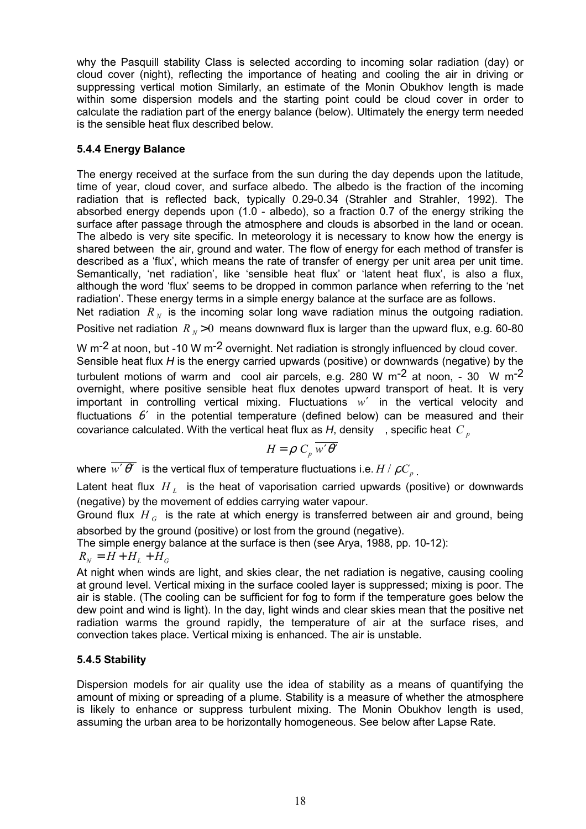why the Pasquill stability Class is selected according to incoming solar radiation (day) or cloud cover (night), reflecting the importance of heating and cooling the air in driving or suppressing vertical motion Similarly, an estimate of the Monin Obukhov length is made within some dispersion models and the starting point could be cloud cover in order to calculate the radiation part of the energy balance (below). Ultimately the energy term needed is the sensible heat flux described below.

## **5.4.4 Energy Balance**

The energy received at the surface from the sun during the day depends upon the latitude, time of year, cloud cover, and surface albedo. The albedo is the fraction of the incoming radiation that is reflected back, typically 0.29-0.34 (Strahler and Strahler, 1992). The absorbed energy depends upon (1.0 - albedo), so a fraction 0.7 of the energy striking the surface after passage through the atmosphere and clouds is absorbed in the land or ocean. The albedo is very site specific. In meteorology it is necessary to know how the energy is shared between the air, ground and water. The flow of energy for each method of transfer is described as a 'flux', which means the rate of transfer of energy per unit area per unit time. Semantically, 'net radiation', like 'sensible heat flux' or 'latent heat flux', is also a flux, although the word 'flux' seems to be dropped in common parlance when referring to the 'net radiation'. These energy terms in a simple energy balance at the surface are as follows. Net radiation  $R_N$  is the incoming solar long wave radiation minus the outgoing radiation.

Positive net radiation  $R_y > 0$  means downward flux is larger than the upward flux, e.g. 60-80

W m<sup>-2</sup> at noon, but -10 W m<sup>-2</sup> overnight. Net radiation is strongly influenced by cloud cover. Sensible heat flux *H* is the energy carried upwards (positive) or downwards (negative) by the turbulent motions of warm and cool air parcels, e.g. 280 W m<sup>-2</sup> at noon, - 30 W m<sup>-2</sup> overnight, where positive sensible heat flux denotes upward transport of heat. It is very important in controlling vertical mixing. Fluctuations *w*′ in the vertical velocity and fluctuations  $\theta'$  in the potential temperature (defined below) can be measured and their covariance calculated. With the vertical heat flux as  $H$ , density, specific heat  $C_p$ 

$$
H = \rho \ C_p \ \overline{w' \theta'}
$$

where  $\overline{w' \theta'}$  is the vertical flux of temperature fluctuations i.e.  $H / \rho C_p$ .

Latent heat flux  $H<sub>L</sub>$  is the heat of vaporisation carried upwards (positive) or downwards (negative) by the movement of eddies carrying water vapour.

Ground flux *H <sup>G</sup>* is the rate at which energy is transferred between air and ground, being absorbed by the ground (positive) or lost from the ground (negative).

The simple energy balance at the surface is then (see Arya, 1988, pp. 10-12):

$$
R_N = H + H_L + H_G
$$

At night when winds are light, and skies clear, the net radiation is negative, causing cooling at ground level. Vertical mixing in the surface cooled layer is suppressed; mixing is poor. The air is stable. (The cooling can be sufficient for fog to form if the temperature goes below the dew point and wind is light). In the day, light winds and clear skies mean that the positive net radiation warms the ground rapidly, the temperature of air at the surface rises, and convection takes place. Vertical mixing is enhanced. The air is unstable.

## **5.4.5 Stability**

Dispersion models for air quality use the idea of stability as a means of quantifying the amount of mixing or spreading of a plume. Stability is a measure of whether the atmosphere is likely to enhance or suppress turbulent mixing. The Monin Obukhov length is used, assuming the urban area to be horizontally homogeneous. See below after Lapse Rate.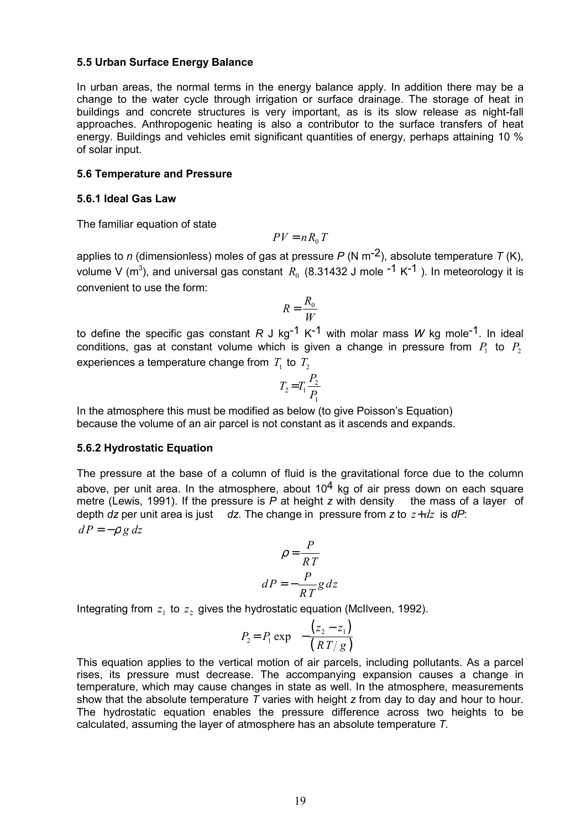#### **5.5 Urban Surface Energy Balance**

In urban areas, the normal terms in the energy balance apply. In addition there may be a change to the water cycle through irrigation or surface drainage. The storage of heat in buildings and concrete structures is very important, as is its slow release as night-fall approaches. Anthropogenic heating is also a contributor to the surface transfers of heat energy. Buildings and vehicles emit significant quantities of energy, perhaps attaining 10 % of solar input.

#### **5.6 Temperature and Pressure**

#### **5.6.1 Ideal Gas Law**

The familiar equation of state

$$
PV = nR_0 T
$$

applies to *n* (dimensionless) moles of gas at pressure *P* (N m-2), absolute temperature *T* (K), volume V (m $^3$ ), and universal gas constant  $\,R_{_0}\,$  (8.31432 J mole <sup>-1</sup> K<sup>-1</sup> ). In meteorology it is convenient to use the form:

$$
R = \frac{R_0}{W}
$$

to define the specific gas constant  $R \text{ J kg}^{-1} K^{-1}$  with molar mass W kg mole<sup>-1</sup>. In ideal conditions, gas at constant volume which is given a change in pressure from  $P_1$  to  $P_2$ experiences a temperature change from  $T_1$  to  $T_2$ 

$$
T_2 = T_1 \frac{P_2}{P_1}
$$

In the atmosphere this must be modified as below (to give Poisson's Equation) because the volume of an air parcel is not constant as it ascends and expands.

#### **5.6.2 Hydrostatic Equation**

The pressure at the base of a column of fluid is the gravitational force due to the column above, per unit area. In the atmosphere, about  $10<sup>4</sup>$  kg of air press down on each square metre (Lewis, 1991). If the pressure is *P* at height *z* with density the mass of a layer of depth *dz* per unit area is just *dz*. The change in pressure from *z* to  $z + dz$  is *dP*:  $dP = -\rho g dz$ 

$$
\rho = \frac{P}{RT}
$$

$$
dP = -\frac{P}{RT}g dz
$$

Integrating from  $z_1$  to  $z_2$  gives the hydrostatic equation (McIlveen, 1992).

$$
P_2 = P_1 \exp\left\{-\frac{(z_2 - z_1)}{(RT/g)}\right\}
$$

This equation applies to the vertical motion of air parcels, including pollutants. As a parcel rises, its pressure must decrease. The accompanying expansion causes a change in temperature, which may cause changes in state as well. In the atmosphere, measurements show that the absolute temperature *T* varies with height *z* from day to day and hour to hour. The hydrostatic equation enables the pressure difference across two heights to be calculated, assuming the layer of atmosphere has an absolute temperature *T.*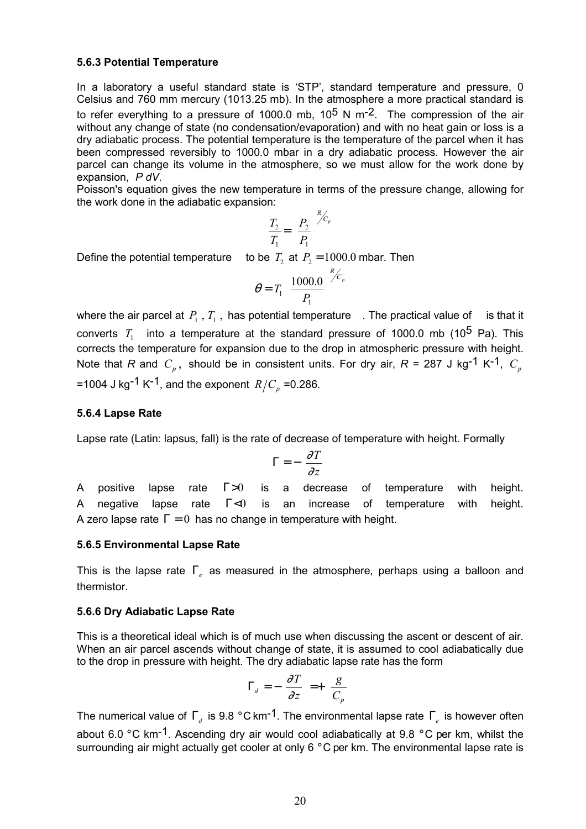#### **5.6.3 Potential Temperature**

In a laboratory a useful standard state is 'STP', standard temperature and pressure, 0 Celsius and 760 mm mercury (1013.25 mb). In the atmosphere a more practical standard is to refer everything to a pressure of 1000.0 mb,  $10^5$  N m<sup>-2</sup>. The compression of the air without any change of state (no condensation/evaporation) and with no heat gain or loss is a dry adiabatic process. The potential temperature is the temperature of the parcel when it has been compressed reversibly to 1000.0 mbar in a dry adiabatic process. However the air parcel can change its volume in the atmosphere, so we must allow for the work done by expansion, *P dV*.

Poisson's equation gives the new temperature in terms of the pressure change, allowing for the work done in the adiabatic expansion:

$$
\frac{T_2}{T_1} = \left(\frac{P_2}{P_1}\right)^{R_{C_p}}
$$

Define the potential temperature to be  $T_2$  at  $P_2 = 1000.0$  mbar. Then

$$
\theta = T_1 \left( \frac{1000.0}{P_1} \right)^{R/c_p}
$$

where the air parcel at  $P_1$ ,  $T_1$ , has potential temperature . The practical value of is that it converts  $T_1$  into a temperature at the standard pressure of 1000.0 mb (10<sup>5</sup> Pa). This corrects the temperature for expansion due to the drop in atmospheric pressure with height. Note that *R* and  $C_p$ , should be in consistent units. For dry air,  $R = 287$  J kg<sup>-1</sup> K<sup>-1</sup>,  $C_p$ =1004 J kg<sup>-1</sup> K<sup>-1</sup>, and the exponent  $R/C_p$  =0.286.

#### **5.6.4 Lapse Rate**

Lapse rate (Latin: lapsus, fall) is the rate of decrease of temperature with height. Formally

$$
\Gamma = -\left(\frac{\partial T}{\partial z}\right)
$$

A positive lapse rate  $\Gamma > 0$  is a decrease of temperature with height. A negative lapse rate  $\Gamma$ <0 is an increase of temperature with height. A zero lapse rate  $\Gamma = 0$  has no change in temperature with height.

#### **5.6.5 Environmental Lapse Rate**

This is the lapse rate Γ*e* as measured in the atmosphere, perhaps using a balloon and thermistor.

#### **5.6.6 Dry Adiabatic Lapse Rate**

This is a theoretical ideal which is of much use when discussing the ascent or descent of air. When an air parcel ascends without change of state, it is assumed to cool adiabatically due to the drop in pressure with height. The dry adiabatic lapse rate has the form

$$
\Gamma_d = -\left(\frac{\partial T}{\partial z}\right) = +\left(\frac{g}{C_p}\right)
$$

The numerical value of Γ<sub>d</sub> is 9.8 °C km<sup>-1</sup>. The environmental lapse rate Γ<sub>e</sub> is however often about 6.0  $\degree$ C km<sup>-1</sup>. Ascending dry air would cool adiabatically at 9.8  $\degree$ C per km, whilst the surrounding air might actually get cooler at only 6 °C per km. The environmental lapse rate is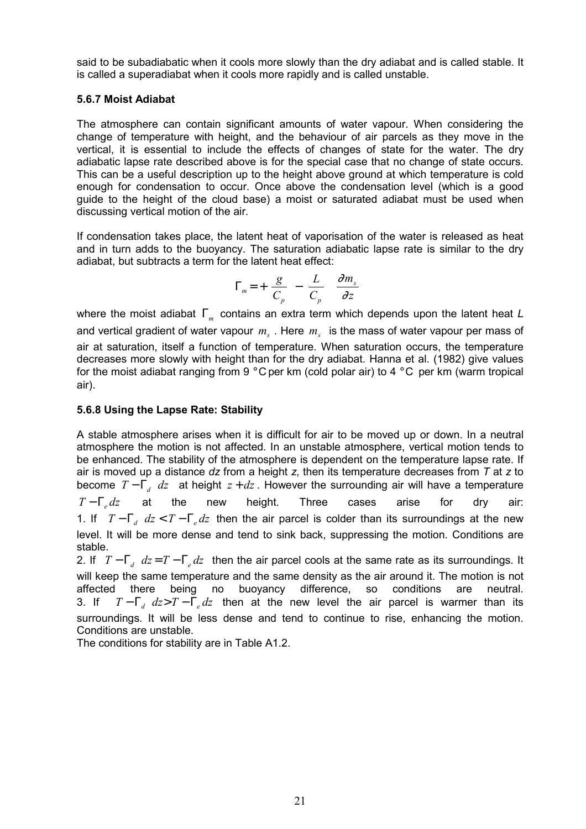said to be subadiabatic when it cools more slowly than the dry adiabat and is called stable. It is called a superadiabat when it cools more rapidly and is called unstable.

### **5.6.7 Moist Adiabat**

The atmosphere can contain significant amounts of water vapour. When considering the change of temperature with height, and the behaviour of air parcels as they move in the vertical, it is essential to include the effects of changes of state for the water. The dry adiabatic lapse rate described above is for the special case that no change of state occurs. This can be a useful description up to the height above ground at which temperature is cold enough for condensation to occur. Once above the condensation level (which is a good guide to the height of the cloud base) a moist or saturated adiabat must be used when discussing vertical motion of the air.

If condensation takes place, the latent heat of vaporisation of the water is released as heat and in turn adds to the buoyancy. The saturation adiabatic lapse rate is similar to the dry adiabat, but subtracts a term for the latent heat effect:

$$
\Gamma_m = + \left(\frac{g}{C_p}\right) - \left(\frac{L}{C_p}\right) \left(\frac{\partial m_s}{\partial z}\right)
$$

where the moist adiabat Γ*m* contains an extra term which depends upon the latent heat *L* and vertical gradient of water vapour  $m_s$ . Here  $m_s$  is the mass of water vapour per mass of air at saturation, itself a function of temperature. When saturation occurs, the temperature decreases more slowly with height than for the dry adiabat. Hanna et al. (1982) give values for the moist adiabat ranging from 9 ° C per km (cold polar air) to 4 ° C per km (warm tropical air).

#### **5.6.8 Using the Lapse Rate: Stability**

A stable atmosphere arises when it is difficult for air to be moved up or down. In a neutral atmosphere the motion is not affected. In an unstable atmosphere, vertical motion tends to be enhanced. The stability of the atmosphere is dependent on the temperature lapse rate. If air is moved up a distance *dz* from a height *z*, then its temperature decreases from *T* at *z* to become  $T - \Gamma_d dz$  at height  $z + dz$ . However the surrounding air will have a temperature *T* − Γ<sub>*e</sub> dz* at the new height. Three cases arise for dry air:</sub> 1. If  $T - \Gamma_d$   $dz < T - \Gamma_e dz$  then the air parcel is colder than its surroundings at the new level. It will be more dense and tend to sink back, suppressing the motion. Conditions are stable.

2. If  $T - \Gamma_d dz = T - \Gamma_e dz$  then the air parcel cools at the same rate as its surroundings. It will keep the same temperature and the same density as the air around it. The motion is not affected there being no buoyancy difference, so conditions are neutral. 3. If  $T - \Gamma_d dz > T - \Gamma_e dz$  then at the new level the air parcel is warmer than its surroundings. It will be less dense and tend to continue to rise, enhancing the motion. Conditions are unstable.

The conditions for stability are in Table A1.2.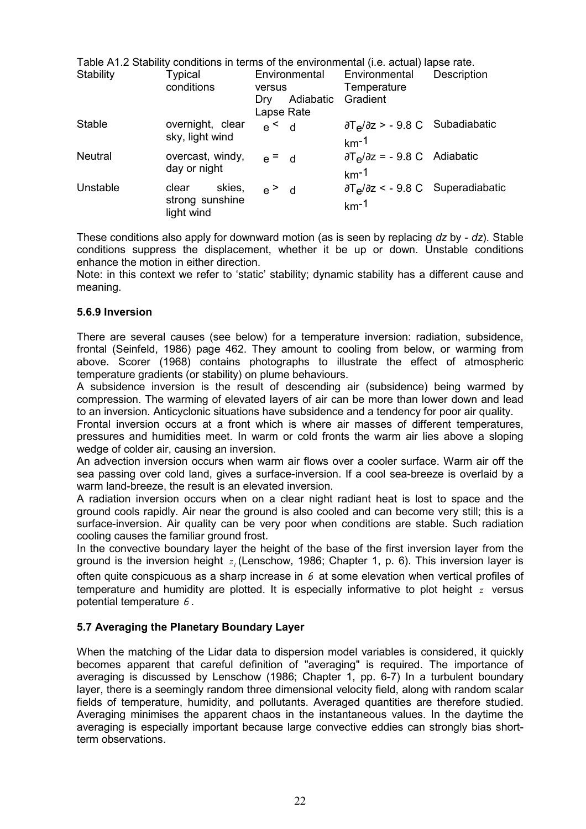|                |                               |                 |           | Table A1.2 Stability conditions in terms of the environmental (i.e. actual) lapse rate. |                    |
|----------------|-------------------------------|-----------------|-----------|-----------------------------------------------------------------------------------------|--------------------|
| Stability      | <b>Typical</b>                |                 |           | Environmental Environmental                                                             | <b>Description</b> |
|                | conditions                    | versus          |           | Temperature                                                                             |                    |
|                |                               | Drv             | Adiabatic | Gradient                                                                                |                    |
|                |                               | Lapse Rate      |           |                                                                                         |                    |
| <b>Stable</b>  | overnight, clear              | $e \leq d$      |           | $\partial T_{\mathbf{e}}/\partial z$ > - 9.8 C Subadiabatic                             |                    |
|                | sky, light wind               |                 |           | $km-1$                                                                                  |                    |
| <b>Neutral</b> | overcast, windy,              | $e = d$         |           | $\partial T_{\mathbf{e}}/\partial z = -9.8 \text{ C}$ Adiabatic                         |                    |
|                |                               |                 |           | $km-1$                                                                                  |                    |
| Unstable       | skies,<br>clear               | $e^{\text{}}$ d |           | $\partial T_{\rm e}/\partial z$ < - 9.8 C Superadiabatic                                |                    |
|                | strong sunshine<br>light wind |                 |           | $km-1$                                                                                  |                    |
|                | day or night                  |                 |           |                                                                                         |                    |

These conditions also apply for downward motion (as is seen by replacing *dz* by - *dz*). Stable conditions suppress the displacement, whether it be up or down. Unstable conditions enhance the motion in either direction.

Note: in this context we refer to 'static' stability; dynamic stability has a different cause and meaning.

#### **5.6.9 Inversion**

There are several causes (see below) for a temperature inversion: radiation, subsidence, frontal (Seinfeld, 1986) page 462. They amount to cooling from below, or warming from above. Scorer (1968) contains photographs to illustrate the effect of atmospheric temperature gradients (or stability) on plume behaviours.

A subsidence inversion is the result of descending air (subsidence) being warmed by compression. The warming of elevated layers of air can be more than lower down and lead to an inversion. Anticyclonic situations have subsidence and a tendency for poor air quality.

Frontal inversion occurs at a front which is where air masses of different temperatures, pressures and humidities meet. In warm or cold fronts the warm air lies above a sloping wedge of colder air, causing an inversion.

An advection inversion occurs when warm air flows over a cooler surface. Warm air off the sea passing over cold land, gives a surface-inversion. If a cool sea-breeze is overlaid by a warm land-breeze, the result is an elevated inversion.

A radiation inversion occurs when on a clear night radiant heat is lost to space and the ground cools rapidly. Air near the ground is also cooled and can become very still; this is a surface-inversion. Air quality can be very poor when conditions are stable. Such radiation cooling causes the familiar ground frost.

In the convective boundary layer the height of the base of the first inversion layer from the ground is the inversion height *<sup>i</sup> z* (Lenschow, 1986; Chapter 1, p. 6). This inversion layer is

often quite conspicuous as a sharp increase in  $\theta$  at some elevation when vertical profiles of temperature and humidity are plotted. It is especially informative to plot height *z* versus potential temperature  $\theta$ .

### **5.7 Averaging the Planetary Boundary Layer**

When the matching of the Lidar data to dispersion model variables is considered, it quickly becomes apparent that careful definition of "averaging" is required. The importance of averaging is discussed by Lenschow (1986; Chapter 1, pp. 6-7) In a turbulent boundary layer, there is a seemingly random three dimensional velocity field, along with random scalar fields of temperature, humidity, and pollutants. Averaged quantities are therefore studied. Averaging minimises the apparent chaos in the instantaneous values. In the daytime the averaging is especially important because large convective eddies can strongly bias shortterm observations.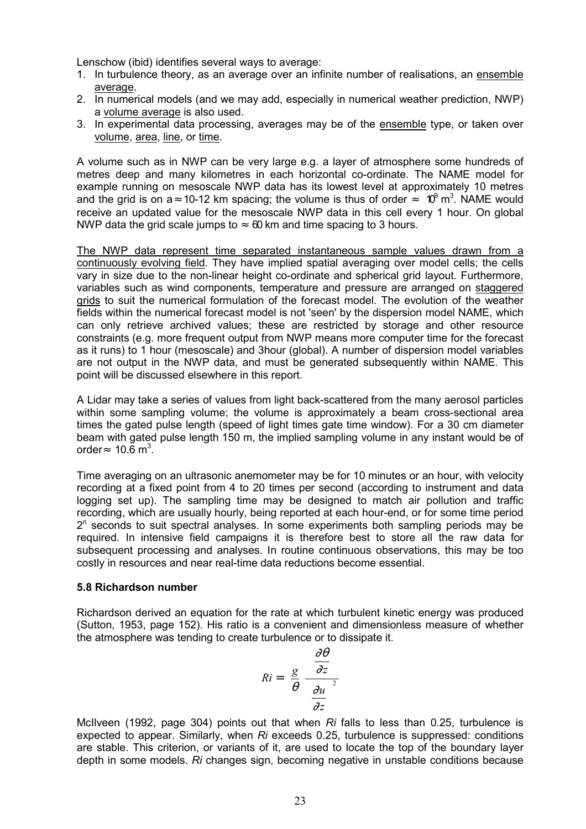Lenschow (ibid) identifies several ways to average:

- 1. In turbulence theory, as an average over an infinite number of realisations, an ensemble average.
- 2. In numerical models (and we may add, especially in numerical weather prediction, NWP) a volume average is also used.
- 3. In experimental data processing, averages may be of the ensemble type, or taken over volume, area, line, or time.

A volume such as in NWP can be very large e.g. a layer of atmosphere some hundreds of metres deep and many kilometres in each horizontal co-ordinate. The NAME model for example running on mesoscale NWP data has its lowest level at approximately 10 metres and the grid is on a ≈ 10-12 km spacing; the volume is thus of order  $\approx$  10<sup>9</sup> m<sup>3</sup>. NAME would receive an updated value for the mesoscale NWP data in this cell every 1 hour. On global NWP data the grid scale jumps to  $\approx 60$  km and time spacing to 3 hours.

The NWP data represent time separated instantaneous sample values drawn from a continuously evolving field. They have implied spatial averaging over model cells; the cells vary in size due to the non-linear height co-ordinate and spherical grid layout. Furthermore, variables such as wind components, temperature and pressure are arranged on staggered grids to suit the numerical formulation of the forecast model. The evolution of the weather fields within the numerical forecast model is not 'seen' by the dispersion model NAME, which can only retrieve archived values; these are restricted by storage and other resource constraints (e.g. more frequent output from NWP means more computer time for the forecast as it runs) to 1 hour (mesoscale) and 3hour (global). A number of dispersion model variables are not output in the NWP data, and must be generated subsequently within NAME. This point will be discussed elsewhere in this report.

A Lidar may take a series of values from light back-scattered from the many aerosol particles within some sampling volume; the volume is approximately a beam cross-sectional area times the gated pulse length (speed of light times gate time window). For a 30 cm diameter beam with gated pulse length 150 m, the implied sampling volume in any instant would be of order≈ 10.6 m<sup>3</sup>.

Time averaging on an ultrasonic anemometer may be for 10 minutes or an hour, with velocity recording at a fixed point from 4 to 20 times per second (according to instrument and data logging set up). The sampling time may be designed to match air pollution and traffic recording, which are usually hourly, being reported at each hour-end, or for some time period  $2<sup>n</sup>$  seconds to suit spectral analyses. In some experiments both sampling periods may be required. In intensive field campaigns it is therefore best to store all the raw data for subsequent processing and analyses. In routine continuous observations, this may be too costly in resources and near real-time data reductions become essential.

#### **5.8 Richardson number**

Richardson derived an equation for the rate at which turbulent kinetic energy was produced (Sutton, 1953, page 152). His ratio is a convenient and dimensionless measure of whether the atmosphere was tending to create turbulence or to dissipate it.



McIlveen (1992, page 304) points out that when *Ri* falls to less than 0.25, turbulence is expected to appear. Similarly, when *Ri* exceeds 0.25, turbulence is suppressed: conditions are stable. This criterion, or variants of it, are used to locate the top of the boundary layer depth in some models. *Ri* changes sign, becoming negative in unstable conditions because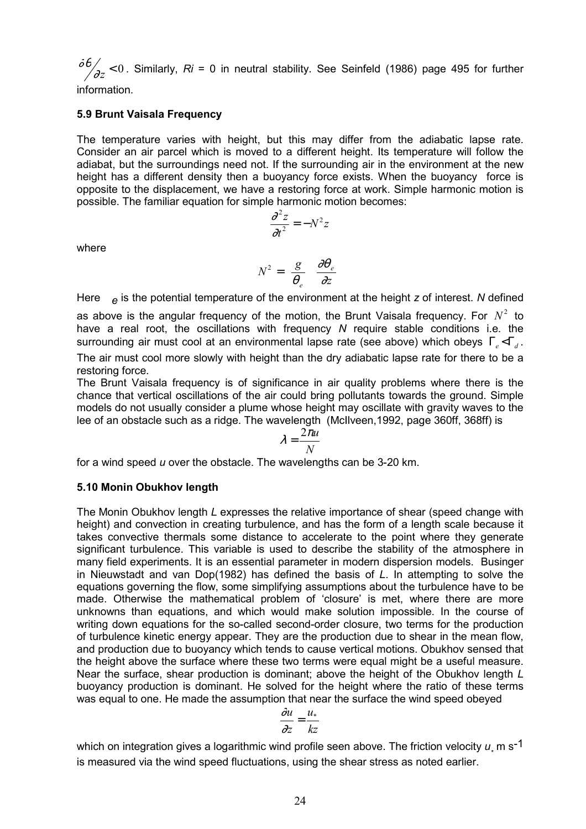∂θ  $\sigma^2_{\rm 2Z}$  < 0 . Similarly, *Ri* = 0 in neutral stability. See Seinfeld (1986) page 495 for further

information.

#### **5.9 Brunt Vaisala Frequency**

The temperature varies with height, but this may differ from the adiabatic lapse rate. Consider an air parcel which is moved to a different height. Its temperature will follow the adiabat, but the surroundings need not. If the surrounding air in the environment at the new height has a different density then a buoyancy force exists. When the buoyancy force is opposite to the displacement, we have a restoring force at work. Simple harmonic motion is possible. The familiar equation for simple harmonic motion becomes:

$$
\frac{\partial^2 z}{\partial t^2} = -N^2 z
$$

where

$$
N^2=\left(\frac{g}{\theta_e}\right)\left(\frac{\partial\theta_e}{\partial z}\right)
$$

Here *e* is the potential temperature of the environment at the height *z* of interest. *N* defined

as above is the angular frequency of the motion, the Brunt Vaisala frequency. For  $N^2$  to have a real root, the oscillations with frequency *N* require stable conditions i.e. the surrounding air must cool at an environmental lapse rate (see above) which obeys  $\Gamma_{\alpha} < \Gamma_{\alpha}$ .

The air must cool more slowly with height than the dry adiabatic lapse rate for there to be a restoring force.

The Brunt Vaisala frequency is of significance in air quality problems where there is the chance that vertical oscillations of the air could bring pollutants towards the ground. Simple models do not usually consider a plume whose height may oscillate with gravity waves to the lee of an obstacle such as a ridge. The wavelength (McIlveen,1992, page 360ff, 368ff) is

$$
\lambda = \frac{2\pi u}{N}
$$

for a wind speed *u* over the obstacle. The wavelengths can be 3-20 km.

#### **5.10 Monin Obukhov length**

The Monin Obukhov length *L* expresses the relative importance of shear (speed change with height) and convection in creating turbulence, and has the form of a length scale because it takes convective thermals some distance to accelerate to the point where they generate significant turbulence. This variable is used to describe the stability of the atmosphere in many field experiments. It is an essential parameter in modern dispersion models. Businger in Nieuwstadt and van Dop(1982) has defined the basis of *L*. In attempting to solve the equations governing the flow, some simplifying assumptions about the turbulence have to be made. Otherwise the mathematical problem of 'closure' is met, where there are more unknowns than equations, and which would make solution impossible. In the course of writing down equations for the so-called second-order closure, two terms for the production of turbulence kinetic energy appear. They are the production due to shear in the mean flow, and production due to buoyancy which tends to cause vertical motions. Obukhov sensed that the height above the surface where these two terms were equal might be a useful measure. Near the surface, shear production is dominant; above the height of the Obukhov length *L* buoyancy production is dominant. He solved for the height where the ratio of these terms was equal to one. He made the assumption that near the surface the wind speed obeyed

$$
\frac{\dot{\omega}u}{\partial z} = \frac{u_*}{kz}
$$

which on integration gives a logarithmic wind profile seen above. The friction velocity  $u_\ast$  m s<sup>-1</sup> is measured via the wind speed fluctuations, using the shear stress as noted earlier.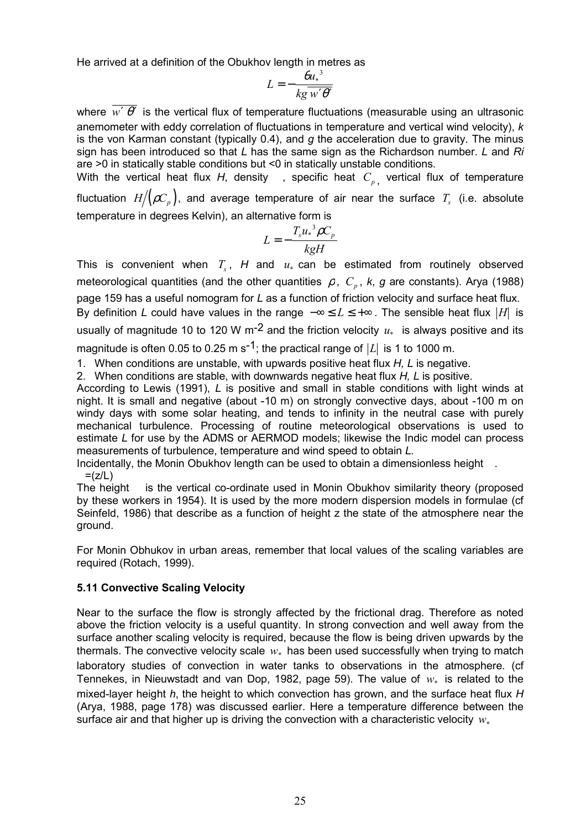He arrived at a definition of the Obukhov length in metres as

$$
L = -\frac{\theta u^3}{k g \overline{w' \theta'}}
$$

where  $\overline{w' \theta'}$  is the vertical flux of temperature fluctuations (measurable using an ultrasonic anemometer with eddy correlation of fluctuations in temperature and vertical wind velocity), *k* is the von Karman constant (typically 0.4), and *g* the acceleration due to gravity. The minus sign has been introduced so that *L* has the same sign as the Richardson number. *L* and *Ri* are >0 in statically stable conditions but <0 in statically unstable conditions.

With the vertical heat flux *H*, density, specific heat  $C_p$ , vertical flux of temperature fluctuation  $H / (\rho C_p)$ , and average temperature of air near the surface  $T_s$  (i.e. absolute temperature in degrees Kelvin), an alternative form is

$$
L = -\frac{T_s u_*^3 \rho C_p}{kgH}
$$

This is convenient when  $T_s$ ,  $H$  and  $u_*$  can be estimated from routinely observed meteorological quantities (and the other quantities  $\rho$ ,  $C_p$ ,  $k$ ,  $g$  are constants). Arya (1988) page 159 has a useful nomogram for *L* as a function of friction velocity and surface heat flux. By definition *L* could have values in the range  $-\infty \le L \le +\infty$ . The sensible heat flux  $|H|$  is usually of magnitude 10 to 120 W m<sup>-2</sup> and the friction velocity  $u_*$  is always positive and its magnitude is often 0.05 to 0.25 m s<sup>-1</sup>; the practical range of  $|L|$  is 1 to 1000 m.

1. When conditions are unstable, with upwards positive heat flux *H, L* is negative.

2. When conditions are stable, with downwards negative heat flux *H, L* is positive.

According to Lewis (1991), *L* is positive and small in stable conditions with light winds at night. It is small and negative (about -10 m) on strongly convective days, about -100 m on windy days with some solar heating, and tends to infinity in the neutral case with purely mechanical turbulence. Processing of routine meteorological observations is used to estimate *L* for use by the ADMS or AERMOD models; likewise the Indic model can process measurements of turbulence, temperature and wind speed to obtain *L.*

Incidentally, the Monin Obukhov length can be used to obtain a dimensionless height .  $=(z/L)$ 

The height is the vertical co-ordinate used in Monin Obukhov similarity theory (proposed by these workers in 1954). It is used by the more modern dispersion models in formulae (cf Seinfeld, 1986) that describe as a function of height z the state of the atmosphere near the ground.

For Monin Obhukov in urban areas, remember that local values of the scaling variables are required (Rotach, 1999).

### **5.11 Convective Scaling Velocity**

Near to the surface the flow is strongly affected by the frictional drag. Therefore as noted above the friction velocity is a useful quantity. In strong convection and well away from the surface another scaling velocity is required, because the flow is being driven upwards by the thermals. The convective velocity scale  $w_*$  has been used successfully when trying to match laboratory studies of convection in water tanks to observations in the atmosphere. (cf Tennekes, in Nieuwstadt and van Dop, 1982, page 59). The value of  $w_*$  is related to the mixed-layer height *h*, the height to which convection has grown, and the surface heat flux *H* (Arya, 1988, page 178) was discussed earlier. Here a temperature difference between the surface air and that higher up is driving the convection with a characteristic velocity  $w_*$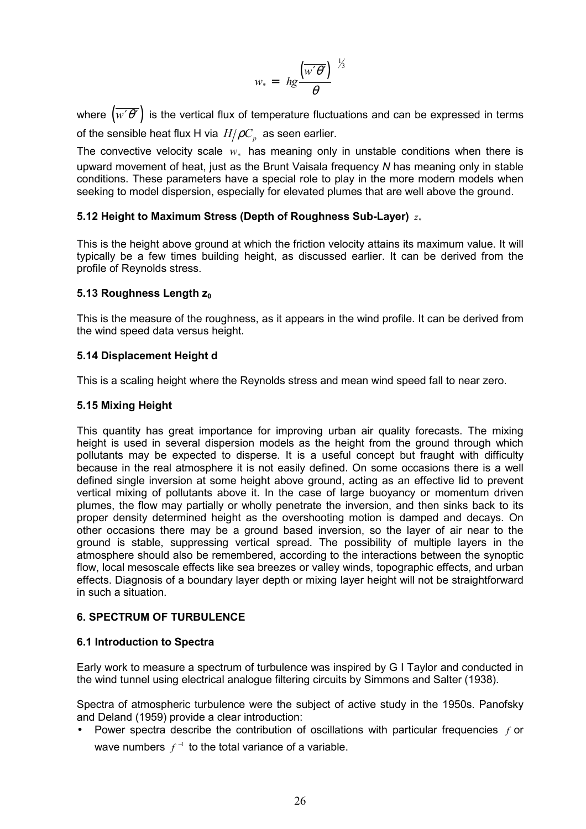$$
w_* = \left(hg\frac{\left(\overline{w'\theta'}\right)}{\theta}\right)^{\frac{1}{3}}
$$

where  $(w' \theta')$  is the vertical flux of temperature fluctuations and can be expressed in terms of the sensible heat flux H via  $H/\rho C_p$  as seen earlier.

The convective velocity scale  $w_*$  has meaning only in unstable conditions when there is upward movement of heat, just as the Brunt Vaisala frequency *N* has meaning only in stable conditions. These parameters have a special role to play in the more modern models when seeking to model dispersion, especially for elevated plumes that are well above the ground.

### **5.12 Height to Maximum Stress (Depth of Roughness Sub-Layer)**  $z_*$

This is the height above ground at which the friction velocity attains its maximum value. It will typically be a few times building height, as discussed earlier. It can be derived from the profile of Reynolds stress.

### **5.13 Roughness Length z<sub>0</sub>**

This is the measure of the roughness, as it appears in the wind profile. It can be derived from the wind speed data versus height.

#### **5.14 Displacement Height d**

This is a scaling height where the Reynolds stress and mean wind speed fall to near zero.

#### **5.15 Mixing Height**

This quantity has great importance for improving urban air quality forecasts. The mixing height is used in several dispersion models as the height from the ground through which pollutants may be expected to disperse. It is a useful concept but fraught with difficulty because in the real atmosphere it is not easily defined. On some occasions there is a well defined single inversion at some height above ground, acting as an effective lid to prevent vertical mixing of pollutants above it. In the case of large buoyancy or momentum driven plumes, the flow may partially or wholly penetrate the inversion, and then sinks back to its proper density determined height as the overshooting motion is damped and decays. On other occasions there may be a ground based inversion, so the layer of air near to the ground is stable, suppressing vertical spread. The possibility of multiple layers in the atmosphere should also be remembered, according to the interactions between the synoptic flow, local mesoscale effects like sea breezes or valley winds, topographic effects, and urban effects. Diagnosis of a boundary layer depth or mixing layer height will not be straightforward in such a situation.

### **6. SPECTRUM OF TURBULENCE**

### **6.1 Introduction to Spectra**

Early work to measure a spectrum of turbulence was inspired by G I Taylor and conducted in the wind tunnel using electrical analogue filtering circuits by Simmons and Salter (1938).

Spectra of atmospheric turbulence were the subject of active study in the 1950s. Panofsky and Deland (1959) provide a clear introduction:

• Power spectra describe the contribution of oscillations with particular frequencies *f* or wave numbers  $f^{-1}$  to the total variance of a variable.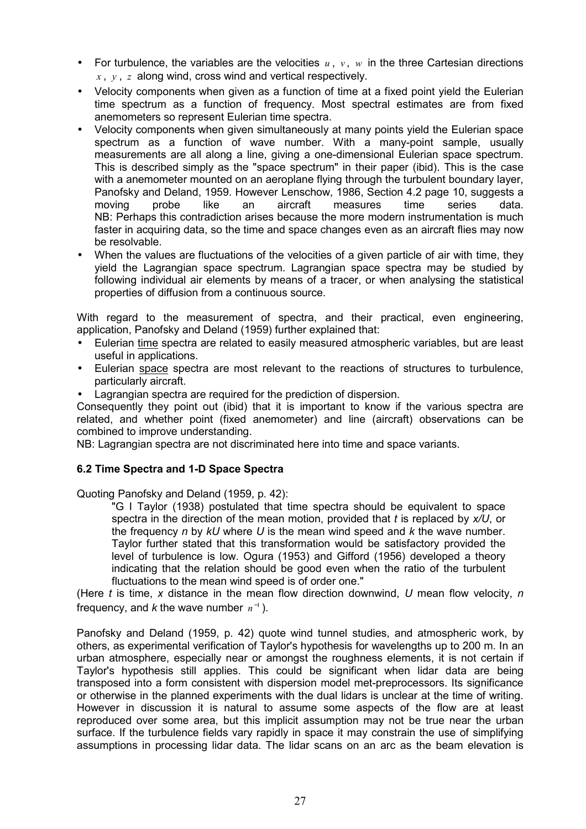- For turbulence, the variables are the velocities  $u, v, w$  in the three Cartesian directions *x* , *y* , *z* along wind, cross wind and vertical respectively.
- Velocity components when given as a function of time at a fixed point yield the Eulerian time spectrum as a function of frequency. Most spectral estimates are from fixed anemometers so represent Eulerian time spectra.
- Velocity components when given simultaneously at many points yield the Eulerian space spectrum as a function of wave number. With a many-point sample, usually measurements are all along a line, giving a one-dimensional Eulerian space spectrum. This is described simply as the "space spectrum" in their paper (ibid). This is the case with a anemometer mounted on an aeroplane flying through the turbulent boundary layer, Panofsky and Deland, 1959. However Lenschow, 1986, Section 4.2 page 10, suggests a moving probe like an aircraft measures time series data. NB: Perhaps this contradiction arises because the more modern instrumentation is much faster in acquiring data, so the time and space changes even as an aircraft flies may now be resolvable.
- When the values are fluctuations of the velocities of a given particle of air with time, they yield the Lagrangian space spectrum. Lagrangian space spectra may be studied by following individual air elements by means of a tracer, or when analysing the statistical properties of diffusion from a continuous source.

With regard to the measurement of spectra, and their practical, even engineering, application, Panofsky and Deland (1959) further explained that:

- Eulerian time spectra are related to easily measured atmospheric variables, but are least useful in applications.
- Eulerian space spectra are most relevant to the reactions of structures to turbulence, particularly aircraft.
- Lagrangian spectra are required for the prediction of dispersion.

Consequently they point out (ibid) that it is important to know if the various spectra are related, and whether point (fixed anemometer) and line (aircraft) observations can be combined to improve understanding.

NB: Lagrangian spectra are not discriminated here into time and space variants.

## **6.2 Time Spectra and 1-D Space Spectra**

Quoting Panofsky and Deland (1959, p. 42):

"G I Taylor (1938) postulated that time spectra should be equivalent to space spectra in the direction of the mean motion, provided that *t* is replaced by *x/U*, or the frequency *n* by *kU* where *U* is the mean wind speed and *k* the wave number. Taylor further stated that this transformation would be satisfactory provided the level of turbulence is low. Ogura (1953) and Gifford (1956) developed a theory indicating that the relation should be good even when the ratio of the turbulent fluctuations to the mean wind speed is of order one."

(Here *t* is time, *x* distance in the mean flow direction downwind, *U* mean flow velocity, *n* frequency, and *k* the wave number  $n^{-1}$ ).

Panofsky and Deland (1959, p. 42) quote wind tunnel studies, and atmospheric work, by others, as experimental verification of Taylor's hypothesis for wavelengths up to 200 m. In an urban atmosphere, especially near or amongst the roughness elements, it is not certain if Taylor's hypothesis still applies. This could be significant when lidar data are being transposed into a form consistent with dispersion model met-preprocessors. Its significance or otherwise in the planned experiments with the dual lidars is unclear at the time of writing. However in discussion it is natural to assume some aspects of the flow are at least reproduced over some area, but this implicit assumption may not be true near the urban surface. If the turbulence fields vary rapidly in space it may constrain the use of simplifying assumptions in processing lidar data. The lidar scans on an arc as the beam elevation is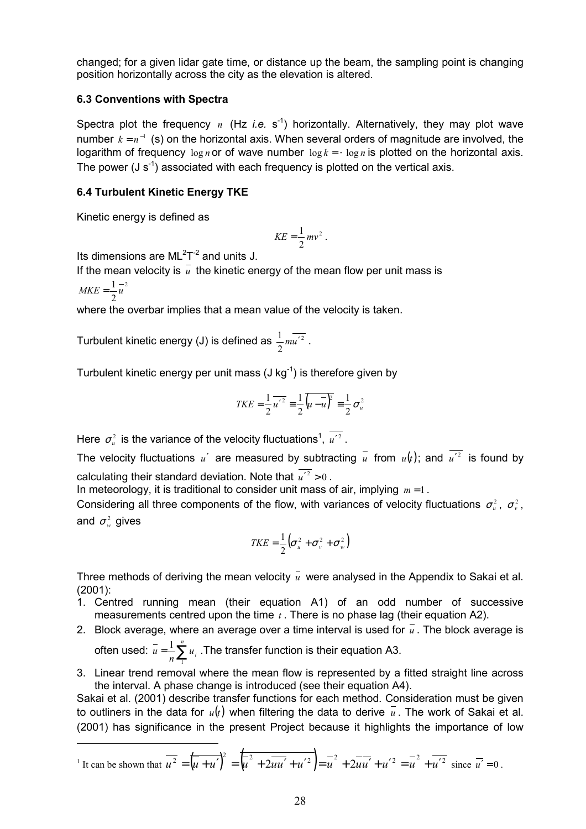changed; for a given lidar gate time, or distance up the beam, the sampling point is changing position horizontally across the city as the elevation is altered.

### **6.3 Conventions with Spectra**

Spectra plot the frequency  $n$  (Hz *i.e.* s<sup>-1</sup>) horizontally. Alternatively, they may plot wave number  $k = n^{-1}$  (s) on the horizontal axis. When several orders of magnitude are involved, the logarithm of frequency log *n* or of wave number log *k* = − log *n* is plotted on the horizontal axis. The power  $(J s^{-1})$  associated with each frequency is plotted on the vertical axis.

### **6.4 Turbulent Kinetic Energy TKE**

Kinetic energy is defined as

$$
KE = \frac{1}{2}mv^2.
$$

Its dimensions are  $ML<sup>2</sup>T<sup>-2</sup>$  and units J.

If the mean velocity is  $\bar{u}$  the kinetic energy of the mean flow per unit mass is

2  $MKE = \frac{1}{2}u$ 

 $\overline{a}$ 

where the overbar implies that a mean value of the velocity is taken.

Turbulent kinetic energy (J) is defined as  $\frac{1}{2} m u'^2$  $\frac{1}{2}mu'^2$ .

Turbulent kinetic energy per unit mass  $(J kg^{-1})$  is therefore given by

$$
TKE = \frac{1}{2} \overline{u'^2} = \frac{1}{2} \overline{\left(u - \overline{u}\right)^2} = \frac{1}{2} \sigma_u^2
$$

Here  $\sigma_u^2$  is the variance of the velocity fluctuations<sup>1</sup>,  $u'^2$  .

The velocity fluctuations *u'* are measured by subtracting  $\overline{u}$  from  $u(t)$ ; and  $\overline{u'^2}$  is found by calculating their standard deviation. Note that  $\overline{u'^2} > 0$ .

In meteorology, it is traditional to consider unit mass of air, implying *m* = 1 .

Considering all three components of the flow, with variances of velocity fluctuations  $\sigma_u^2$ ,  $\sigma_v^2$ , and  $\sigma_w^2$  gives

$$
TKE = \frac{1}{2} \left( \sigma_u^2 + \sigma_v^2 + \sigma_w^2 \right)
$$

Three methods of deriving the mean velocity  $\bar{u}$  were analysed in the Appendix to Sakai et al. (2001):

- 1. Centred running mean (their equation A1) of an odd number of successive measurements centred upon the time *t* . There is no phase lag (their equation A2).
- 2. Block average, where an average over a time interval is used for  $\bar{u}$ . The block average is *n*

often used: 
$$
\overline{u} = \frac{1}{n} \sum_{i=1}^{n} u_i
$$
. The transfer function is their equation A3.

3. Linear trend removal where the mean flow is represented by a fitted straight line across the interval. A phase change is introduced (see their equation A4).

Sakai et al. (2001) describe transfer functions for each method. Consideration must be given to outliners in the data for  $u(t)$  when filtering the data to derive  $\bar{u}$ . The work of Sakai et al. (2001) has significance in the present Project because it highlights the importance of low

<span id="page-32-0"></span>
$$
{}^{1}
$$
 It can be shown that  $\overline{u^{2}} = (\overline{u+u'})^{2} = (\overline{u^{2} + 2uu' + u'^{2}}) = \overline{u^{2}} + 2\overline{u}\overline{u'} + u'^{2} = \overline{u^{2}} + \overline{u'^{2}} \text{ since } \overline{u'} = 0.$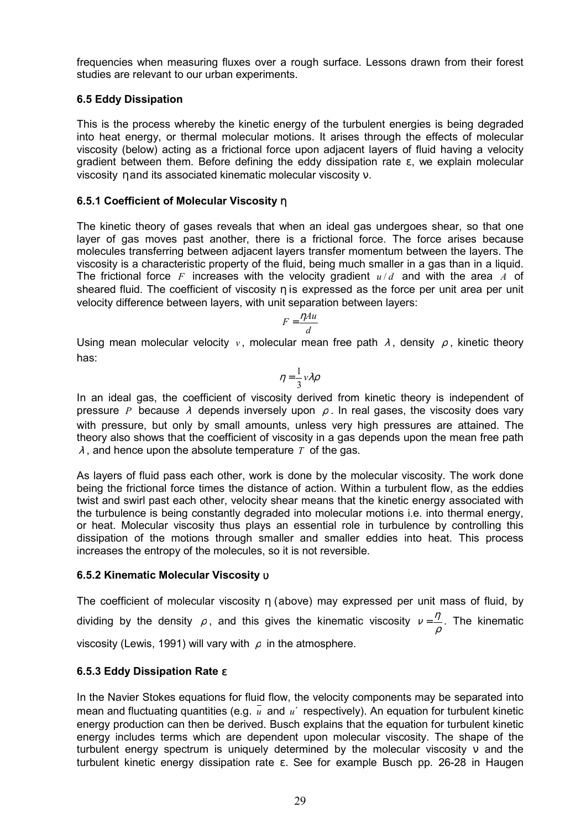frequencies when measuring fluxes over a rough surface. Lessons drawn from their forest studies are relevant to our urban experiments.

### **6.5 Eddy Dissipation**

This is the process whereby the kinetic energy of the turbulent energies is being degraded into heat energy, or thermal molecular motions. It arises through the effects of molecular viscosity (below) acting as a frictional force upon adjacent layers of fluid having a velocity gradient between them. Before defining the eddy dissipation rate ε, we explain molecular viscosity η and its associated kinematic molecular viscosity ν.

### **6.5.1 Coefficient of Molecular Viscosity** η

The kinetic theory of gases reveals that when an ideal gas undergoes shear, so that one layer of gas moves past another, there is a frictional force. The force arises because molecules transferring between adjacent layers transfer momentum between the layers. The viscosity is a characteristic property of the fluid, being much smaller in a gas than in a liquid. The frictional force *F* increases with the velocity gradient  $u/d$  and with the area *A* of sheared fluid. The coefficient of viscosity η is expressed as the force per unit area per unit velocity difference between layers, with unit separation between layers:

$$
F = \frac{\eta A u}{d}
$$

Using mean molecular velocity *v* , molecular mean free path <sup>λ</sup> , density <sup>ρ</sup> , kinetic theory has:

$$
\eta = \frac{1}{3} v \lambda \rho
$$

In an ideal gas, the coefficient of viscosity derived from kinetic theory is independent of pressure *P* because  $\lambda$  depends inversely upon  $\rho$ . In real gases, the viscosity does vary with pressure, but only by small amounts, unless very high pressures are attained. The theory also shows that the coefficient of viscosity in a gas depends upon the mean free path  $\lambda$ . and hence upon the absolute temperature *T* of the gas.

As layers of fluid pass each other, work is done by the molecular viscosity. The work done being the frictional force times the distance of action. Within a turbulent flow, as the eddies twist and swirl past each other, velocity shear means that the kinetic energy associated with the turbulence is being constantly degraded into molecular motions i.e. into thermal energy, or heat. Molecular viscosity thus plays an essential role in turbulence by controlling this dissipation of the motions through smaller and smaller eddies into heat. This process increases the entropy of the molecules, so it is not reversible.

### **6.5.2 Kinematic Molecular Viscosity** υ

The coefficient of molecular viscosity η (above) may expressed per unit mass of fluid, by dividing by the density  $\rho$ , and this gives the kinematic viscosity  $v = \frac{\eta}{\rho}$ . The kinematic ρ viscosity (Lewis, 1991) will vary with  $\rho$  in the atmosphere.

## **6.5.3 Eddy Dissipation Rate** ε

In the Navier Stokes equations for fluid flow, the velocity components may be separated into mean and fluctuating quantities (e.g.  $\overline{u}$  and  $u'$  respectively). An equation for turbulent kinetic energy production can then be derived. Busch explains that the equation for turbulent kinetic energy includes terms which are dependent upon molecular viscosity. The shape of the turbulent energy spectrum is uniquely determined by the molecular viscosity ν and the turbulent kinetic energy dissipation rate ε. See for example Busch pp. 26-28 in Haugen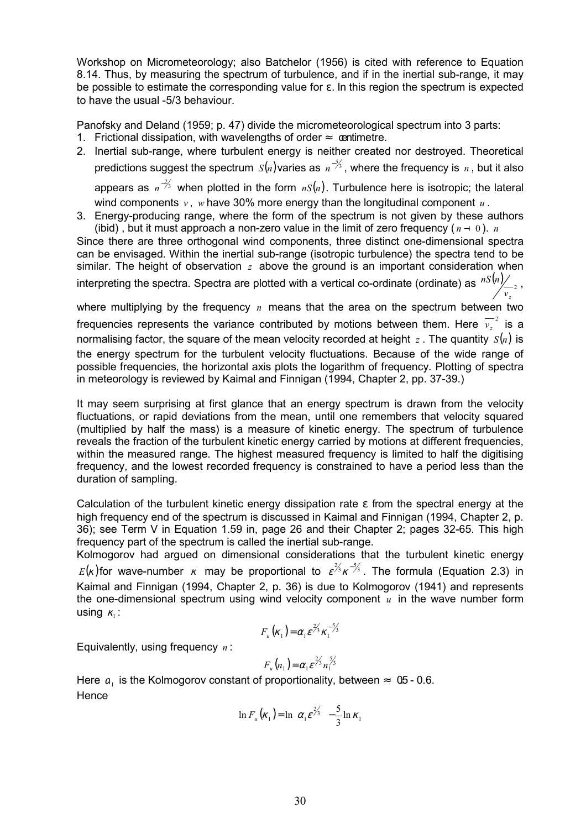Workshop on Micrometeorology; also Batchelor (1956) is cited with reference to Equation 8.14. Thus, by measuring the spectrum of turbulence, and if in the inertial sub-range, it may be possible to estimate the corresponding value for  $\varepsilon$ . In this region the spectrum is expected to have the usual -5/3 behaviour.

Panofsky and Deland (1959; p. 47) divide the micrometeorological spectrum into 3 parts:

- 1. Frictional dissipation, with wavelengths of order  $≈$  centimetre.
- 2. Inertial sub-range, where turbulent energy is neither created nor destroyed. Theoretical predictions suggest the spectrum  $S(n)$ varies as  $n^{-\frac{2}{3}}$ , where the frequency is  $n$  , but it also appears as  $n^{-2/3}$  when plotted in the form *nS*(*n*). Turbulence here is isotropic; the lateral wind components *v* , *w* have 30% more energy than the longitudinal component *u* .
- 3. Energy-producing range, where the form of the spectrum is not given by these authors (ibid), but it must approach a non-zero value in the limit of zero frequency  $(n - 0)$ . *n*

Since there are three orthogonal wind components, three distinct one-dimensional spectra can be envisaged. Within the inertial sub-range (isotropic turbulence) the spectra tend to be similar. The height of observation *z* above the ground is an important consideration when interpreting the spectra. Spectra are plotted with a vertical co-ordinate (ordinate) as  $\sqrt{nS(n)}}_{\rm 2}$ *z v nS <sup>n</sup>* ,

where multiplying by the frequency *n* means that the area on the spectrum between two frequencies represents the variance contributed by motions between them. Here  $\overline{v_z}^2$  is a normalising factor, the square of the mean velocity recorded at height  $z$ . The quantity  $S(n)$  is the energy spectrum for the turbulent velocity fluctuations. Because of the wide range of possible frequencies, the horizontal axis plots the logarithm of frequency. Plotting of spectra in meteorology is reviewed by Kaimal and Finnigan (1994, Chapter 2, pp. 37-39.)

It may seem surprising at first glance that an energy spectrum is drawn from the velocity fluctuations, or rapid deviations from the mean, until one remembers that velocity squared (multiplied by half the mass) is a measure of kinetic energy. The spectrum of turbulence reveals the fraction of the turbulent kinetic energy carried by motions at different frequencies, within the measured range. The highest measured frequency is limited to half the digitising frequency, and the lowest recorded frequency is constrained to have a period less than the duration of sampling.

Calculation of the turbulent kinetic energy dissipation rate ε from the spectral energy at the high frequency end of the spectrum is discussed in Kaimal and Finnigan (1994, Chapter 2, p. 36); see Term V in Equation 1.59 in, page 26 and their Chapter 2; pages 32-65. This high frequency part of the spectrum is called the inertial sub-range.

Kolmogorov had argued on dimensional considerations that the turbulent kinetic energy  $E(k)$ for wave-number  $k$  may be proportional to  $\varepsilon^{\frac{2}{3}} \kappa^{-\frac{2}{3}}$ . The formula (Equation 2.3) in Kaimal and Finnigan (1994, Chapter 2, p. 36) is due to Kolmogorov (1941) and represents the one-dimensional spectrum using wind velocity component *u* in the wave number form using  $\kappa_1$  :

$$
F_u(\kappa_1) = \alpha_1 \varepsilon^{2/3} \kappa_1^{-5/3}
$$

Equivalently, using frequency *n* :

$$
F_u(n_1) = \alpha_1 \varepsilon^{\frac{\gamma}{\gamma_3}} n_1^{\frac{5}{\gamma_3}}
$$

Here  $a_1$  is the Kolmogorov constant of proportionality, between  $\approx$  0.5 - 0.6. **Hence** 

$$
\ln F_u(\kappa_1) = \ln \left( \alpha_1 \varepsilon^{\frac{2}{3}} \right) - \frac{5}{3} \ln \kappa_1
$$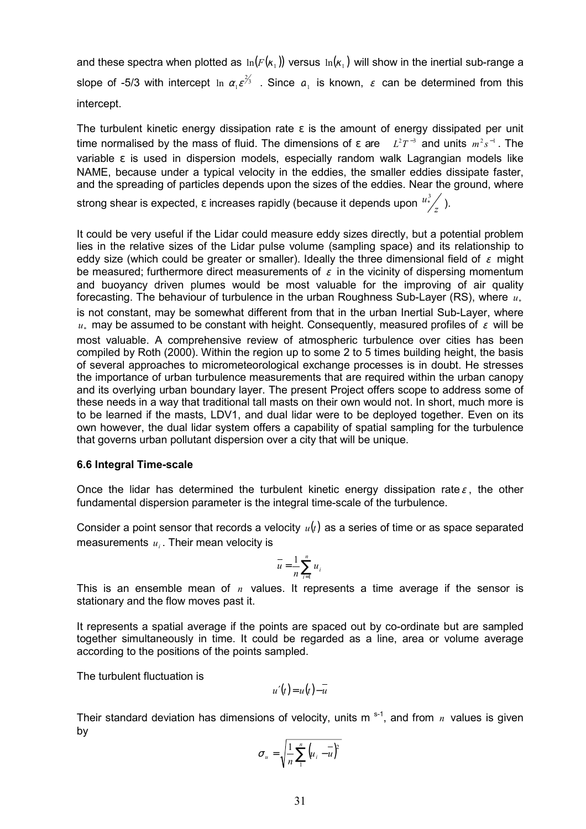and these spectra when plotted as  $\ln(F(\kappa_1))$  versus  $\ln(\kappa_1)$  will show in the inertial sub-range a slope of -5/3 with intercept  $\ln\left(\alpha_1\varepsilon^{\frac{2}{3}}\right)$  $\ln \left( \alpha_1 \epsilon^{\frac{2}{3}} \right)$ . Since  $\alpha_1$  is known,  $\epsilon$  can be determined from this intercept.

The turbulent kinetic energy dissipation rate  $\varepsilon$  is the amount of energy dissipated per unit time normalised by the mass of fluid. The dimensions of  $\varepsilon$  are  $L^2 T^{-3}$  and units  $m^2 s^{-1}$ . The variable ε is used in dispersion models, especially random walk Lagrangian models like NAME, because under a typical velocity in the eddies, the smaller eddies dissipate faster, and the spreading of particles depends upon the sizes of the eddies. Near the ground, where

strong shear is expected,  $\varepsilon$  increases rapidly (because it depends upon  $\frac{u^3_z}{z}$  ).

It could be very useful if the Lidar could measure eddy sizes directly, but a potential problem lies in the relative sizes of the Lidar pulse volume (sampling space) and its relationship to eddy size (which could be greater or smaller). Ideally the three dimensional field of  $\varepsilon$  might be measured; furthermore direct measurements of  $\varepsilon$  in the vicinity of dispersing momentum and buoyancy driven plumes would be most valuable for the improving of air quality forecasting. The behaviour of turbulence in the urban Roughness Sub-Layer (RS), where  $u_*$ is not constant, may be somewhat different from that in the urban Inertial Sub-Layer, where  $u_*$  may be assumed to be constant with height. Consequently, measured profiles of  $\varepsilon$  will be most valuable. A comprehensive review of atmospheric turbulence over cities has been compiled by Roth (2000). Within the region up to some 2 to 5 times building height, the basis of several approaches to micrometeorological exchange processes is in doubt. He stresses the importance of urban turbulence measurements that are required within the urban canopy and its overlying urban boundary layer. The present Project offers scope to address some of these needs in a way that traditional tall masts on their own would not. In short, much more is to be learned if the masts, LDV1, and dual lidar were to be deployed together. Even on its own however, the dual lidar system offers a capability of spatial sampling for the turbulence that governs urban pollutant dispersion over a city that will be unique.

### **6.6 Integral Time-scale**

Once the lidar has determined the turbulent kinetic energy dissipation rate $\varepsilon$ , the other fundamental dispersion parameter is the integral time-scale of the turbulence.

Consider a point sensor that records a velocity  $u(t)$  as a series of time or as space separated measurements  $u_i$ . Their mean velocity is

$$
\overline{u} = \frac{1}{n} \sum_{i=1}^{n} u_i
$$

This is an ensemble mean of *n* values. It represents a time average if the sensor is stationary and the flow moves past it.

It represents a spatial average if the points are spaced out by co-ordinate but are sampled together simultaneously in time. It could be regarded as a line, area or volume average according to the positions of the points sampled.

The turbulent fluctuation is

 $u'(t) = u(t) - \overline{u}$ 

Their standard deviation has dimensions of velocity, units m<sup>s-1</sup>, and from *n* values is given by

$$
\sigma_u = \sqrt{\frac{1}{n} \sum_{1}^{n} \left( u_i - \overline{u} \right)^2}
$$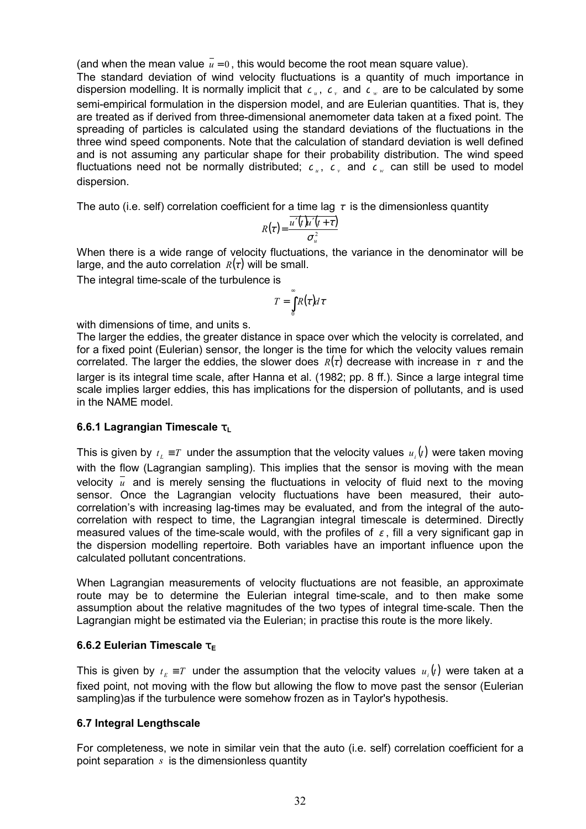(and when the mean value  $\bar{u} = 0$ , this would become the root mean square value).

The standard deviation of wind velocity fluctuations is a quantity of much importance in dispersion modelling. It is normally implicit that  $c_{u}$ ,  $c_{v}$  and  $c_{w}$  are to be calculated by some semi-empirical formulation in the dispersion model, and are Eulerian quantities. That is, they are treated as if derived from three-dimensional anemometer data taken at a fixed point. The spreading of particles is calculated using the standard deviations of the fluctuations in the three wind speed components. Note that the calculation of standard deviation is well defined and is not assuming any particular shape for their probability distribution. The wind speed fluctuations need not be normally distributed;  $c_y$ ,  $c_y$  and  $c_y$  can still be used to model dispersion.

The auto (i.e. self) correlation coefficient for a time lag  $\tau$  is the dimensionless quantity

$$
R(\tau) = \frac{\overline{u'(t)u'(t+\tau)}}{\sigma_u^2}
$$

When there is a wide range of velocity fluctuations, the variance in the denominator will be large, and the auto correlation  $R(\tau)$  will be small.

The integral time-scale of the turbulence is

$$
T=\int\limits_0^\infty R(\tau)d\tau
$$

with dimensions of time, and units s.

The larger the eddies, the greater distance in space over which the velocity is correlated, and for a fixed point (Eulerian) sensor, the longer is the time for which the velocity values remain correlated. The larger the eddies, the slower does  $R(\tau)$  decrease with increase in  $\tau$  and the larger is its integral time scale, after Hanna et al. (1982; pp. 8 ff.). Since a large integral time scale implies larger eddies, this has implications for the dispersion of pollutants, and is used in the NAME model.

#### **6.6.1 Lagrangian Timescale τι**

This is given by  $t_i \equiv T$  under the assumption that the velocity values  $u_i(t)$  were taken moving with the flow (Lagrangian sampling). This implies that the sensor is moving with the mean velocity  $\overline{u}$  and is merely sensing the fluctuations in velocity of fluid next to the moving sensor. Once the Lagrangian velocity fluctuations have been measured, their autocorrelation's with increasing lag-times may be evaluated, and from the integral of the autocorrelation with respect to time, the Lagrangian integral timescale is determined. Directly measured values of the time-scale would, with the profiles of  $\varepsilon$ , fill a very significant gap in the dispersion modelling repertoire. Both variables have an important influence upon the calculated pollutant concentrations.

When Lagrangian measurements of velocity fluctuations are not feasible, an approximate route may be to determine the Eulerian integral time-scale, and to then make some assumption about the relative magnitudes of the two types of integral time-scale. Then the Lagrangian might be estimated via the Eulerian; in practise this route is the more likely.

#### **6.6.2 Eulerian Timescale**  $\tau$ **<sub>E</sub>**

This is given by  $t_E \equiv T$  under the assumption that the velocity values  $u_i(t)$  were taken at a fixed point, not moving with the flow but allowing the flow to move past the sensor (Eulerian sampling)as if the turbulence were somehow frozen as in Taylor's hypothesis.

### **6.7 Integral Lengthscale**

For completeness, we note in similar vein that the auto (i.e. self) correlation coefficient for a point separation *s* is the dimensionless quantity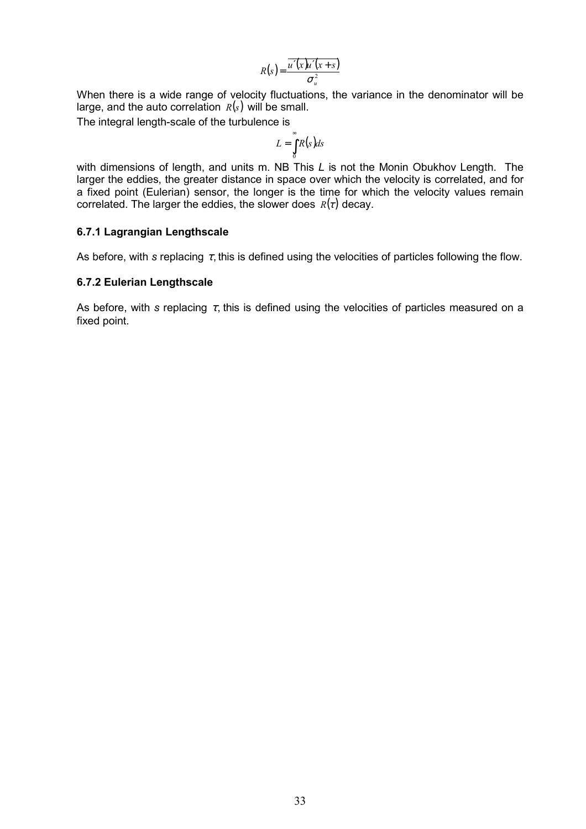$$
R(s) = \frac{\overline{u'(x)u'(x+s)}}{\sigma_u^2}
$$

When there is a wide range of velocity fluctuations, the variance in the denominator will be large, and the auto correlation  $R(s)$  will be small.

The integral length-scale of the turbulence is

$$
L=\int_{0}^{\infty}R(s)ds
$$

with dimensions of length, and units m. NB This *L* is not the Monin Obukhov Length. The larger the eddies, the greater distance in space over which the velocity is correlated, and for a fixed point (Eulerian) sensor, the longer is the time for which the velocity values remain correlated. The larger the eddies, the slower does  $R(\tau)$  decay.

#### **6.7.1 Lagrangian Lengthscale**

As before, with *s* replacing  $\tau$ , this is defined using the velocities of particles following the flow.

#### **6.7.2 Eulerian Lengthscale**

As before, with *s* replacing  $\tau$ , this is defined using the velocities of particles measured on a fixed point.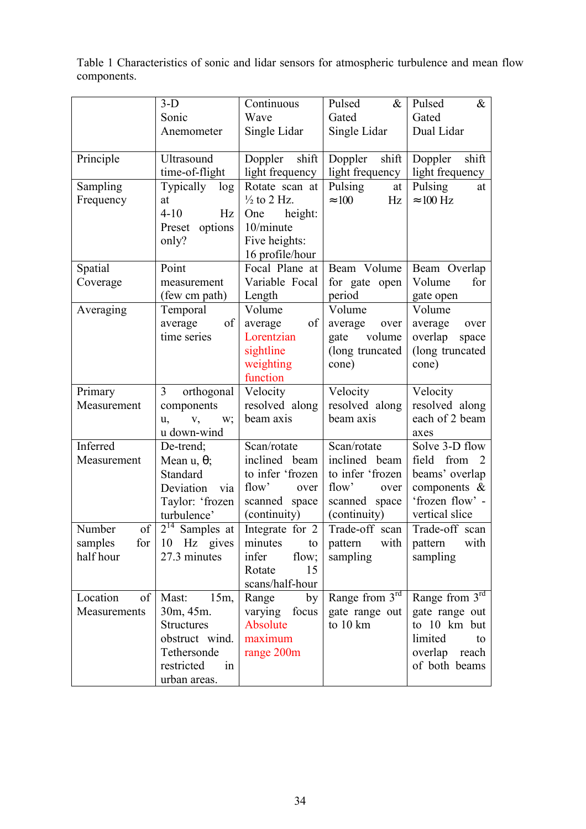Table 1 Characteristics of sonic and lidar sensors for atmospheric turbulence and mean flow components.

|                             | $3-D$                       | Continuous                      | Pulsed<br>$\&$                 | $\&$<br>Pulsed                     |
|-----------------------------|-----------------------------|---------------------------------|--------------------------------|------------------------------------|
|                             | Sonic                       | Wave                            | Gated                          | Gated                              |
|                             | Anemometer                  | Single Lidar                    | Single Lidar                   | Dual Lidar                         |
|                             |                             |                                 |                                |                                    |
| Principle                   | Ultrasound                  | Doppler shift                   | shift<br>Doppler               | shift<br>Doppler                   |
|                             | time-of-flight              | light frequency                 | light frequency                | light frequency                    |
| Sampling                    | Typically log               | Rotate scan at                  | Pulsing<br>at                  | Pulsing<br>at                      |
| Frequency                   | at                          | $\frac{1}{2}$ to 2 Hz.          | $\approx 100$<br>Hz            | $\approx 100$ Hz                   |
|                             | $4 - 10$<br>Hz              | height:<br>One                  |                                |                                    |
|                             | options<br>Preset           | 10/minute                       |                                |                                    |
|                             | only?                       | Five heights:                   |                                |                                    |
|                             |                             | 16 profile/hour                 |                                |                                    |
| Spatial                     | Point                       | Focal Plane at                  | Beam Volume                    | Beam Overlap                       |
| Coverage                    | measurement                 | Variable Focal                  | for gate open                  | Volume<br>for                      |
|                             | (few cm path)               | Length                          | period                         | gate open                          |
| Averaging                   | Temporal                    | Volume                          | Volume                         | Volume                             |
|                             | of<br>average               | of<br>average                   | average<br>over                | average<br>over                    |
|                             | time series                 | Lorentzian                      | volume<br>gate                 | overlap<br>space                   |
|                             |                             | sightline                       | (long truncated                | (long truncated                    |
|                             |                             | weighting                       | cone)                          | cone)                              |
|                             |                             | function                        |                                |                                    |
| Primary                     | 3<br>orthogonal             | Velocity                        | Velocity                       | Velocity                           |
| Measurement                 | components                  | resolved along                  | resolved along                 | resolved along                     |
|                             | W;<br>u,<br>V,              | beam axis                       | beam axis                      | each of 2 beam                     |
|                             | u down-wind                 |                                 |                                | axes                               |
| Inferred                    | De-trend;                   | Scan/rotate                     | Scan/rotate                    | Solve 3-D flow                     |
| Measurement                 | Mean $u, \theta$ ;          | inclined beam                   | inclined beam                  | from<br>field                      |
|                             | Standard                    | to infer 'frozen                | to infer 'frozen               | beams' overlap                     |
|                             | Deviation<br>via            | flow'<br>over                   | flow'<br>over                  | components $\&$<br>'frozen flow' - |
|                             | Taylor: 'frozen             | scanned space                   | scanned space                  | vertical slice                     |
| of<br>Number                | turbulence'<br>$2^{14}$     | (continuity)<br>Integrate for 2 | (continuity)<br>Trade-off scan | Trade-off scan                     |
|                             | Samples at                  |                                 |                                |                                    |
| samples<br>for<br>half hour | 10 Hz gives<br>27.3 minutes | minutes<br>to<br>infer          | pattern<br>with                | with<br>pattern                    |
|                             |                             | flow;<br>15<br>Rotate           | sampling                       | sampling                           |
|                             |                             | scans/half-hour                 |                                |                                    |
| Location<br>of              | Mast:<br>$15m$ ,            | Range<br>by                     | Range from $3rd$               | Range from 3rd                     |
| Measurements                | 30m, 45m.                   | varying focus                   | gate range out                 | gate range out                     |
|                             | <b>Structures</b>           | Absolute                        | to 10 km                       | to 10 km but                       |
|                             | obstruct wind.              | maximum                         |                                | limited<br>to                      |
|                             | Tethersonde                 | range 200m                      |                                | overlap reach                      |
|                             | restricted<br>in            |                                 |                                | of both beams                      |
|                             | urban areas.                |                                 |                                |                                    |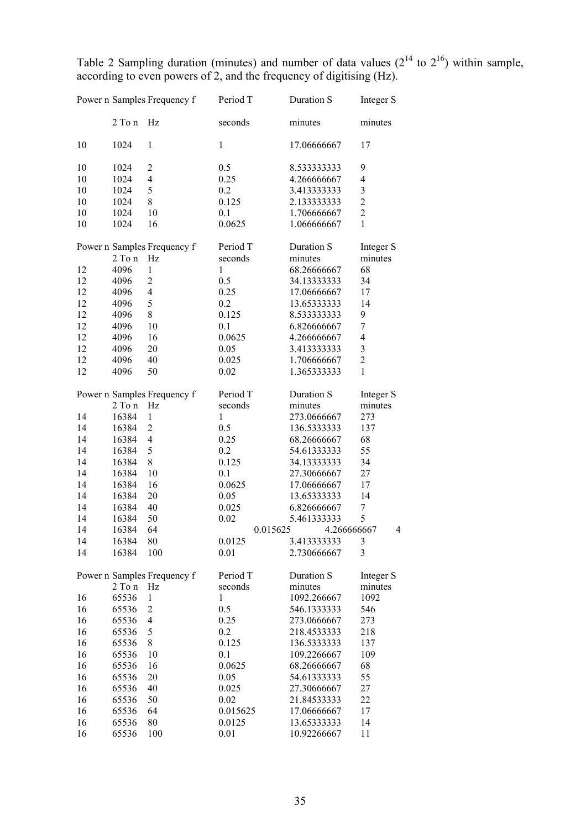Table 2 Sampling duration (minutes) and number of data values  $(2^{14}$  to  $2^{16})$  within sample, according to even powers of 2, and the frequency of digitising (Hz).

|    |            | Power n Samples Frequency f | Period T     | Duration S  | Integer S               |
|----|------------|-----------------------------|--------------|-------------|-------------------------|
|    | 2 To n     | Hz                          | seconds      | minutes     | minutes                 |
| 10 | 1024       | $\mathbf{1}$                | $\mathbf{1}$ | 17.06666667 | 17                      |
| 10 | 1024       | $\overline{c}$              | 0.5          | 8.533333333 | 9                       |
| 10 | 1024       | $\overline{\mathcal{L}}$    | 0.25         | 4.266666667 | $\overline{4}$          |
| 10 | 1024       | 5                           | 0.2          | 3.413333333 | 3                       |
| 10 | 1024       | 8                           | 0.125        | 2.133333333 | $\overline{c}$          |
| 10 | 1024       | 10                          | 0.1          | 1.706666667 | $\overline{c}$          |
| 10 | 1024       | 16                          | 0.0625       | 1.066666667 | $\mathbf{1}$            |
|    |            | Power n Samples Frequency f | Period T     | Duration S  | Integer S               |
|    | $2$ To $n$ | Hz                          | seconds      | minutes     | minutes                 |
| 12 | 4096       | $\mathbf{1}$                | $\mathbf{1}$ | 68.26666667 | 68                      |
| 12 | 4096       | $\sqrt{2}$                  | 0.5          | 34.13333333 | 34                      |
| 12 | 4096       | $\overline{4}$              | 0.25         | 17.06666667 | 17                      |
| 12 | 4096       | 5                           | 0.2          | 13.65333333 | 14                      |
| 12 | 4096       | 8                           | 0.125        | 8.533333333 | 9                       |
| 12 | 4096       | 10                          | 0.1          | 6.826666667 | $\overline{7}$          |
| 12 | 4096       | 16                          | 0.0625       | 4.266666667 | $\overline{4}$          |
| 12 | 4096       | 20                          | 0.05         | 3.413333333 | 3                       |
| 12 | 4096       | 40                          | 0.025        | 1.706666667 | $\overline{c}$          |
| 12 | 4096       | 50                          | 0.02         | 1.365333333 | $\mathbf{1}$            |
|    |            | Power n Samples Frequency f | Period T     | Duration S  | Integer S               |
|    | 2 To n     | Hz                          | seconds      | minutes     | minutes                 |
| 14 | 16384      | $\mathbf{1}$                | 1            | 273.0666667 | 273                     |
| 14 | 16384      | $\overline{c}$              | 0.5          | 136.5333333 | 137                     |
| 14 | 16384      | $\overline{4}$              | 0.25         | 68.26666667 | 68                      |
| 14 | 16384      | 5                           | 0.2          | 54.61333333 | 55                      |
| 14 | 16384      | $8\,$                       | 0.125        | 34.13333333 | 34                      |
| 14 | 16384      | 10                          | 0.1          | 27.30666667 | 27                      |
| 14 | 16384      | 16                          | 0.0625       | 17.06666667 | 17                      |
| 14 | 16384      | 20                          | 0.05         | 13.65333333 | 14                      |
| 14 | 16384      | 40                          | 0.025        | 6.826666667 | 7                       |
| 14 | 16384      | 50                          | 0.02         | 5.461333333 | 5                       |
| 14 | 16384      | 64                          | 0.015625     | 4.266666667 | 4                       |
| 14 | 16384      | 80                          | 0.0125       | 3.413333333 | 3                       |
| 14 | 16384      | 100                         | 0.01         | 2.730666667 | $\overline{\mathbf{3}}$ |
|    |            | Power n Samples Frequency f | Period T     | Duration S  | Integer S               |
|    | 2 To n     | $\rm Hz$                    | seconds      | minutes     | minutes                 |
| 16 | 65536      | $\mathbf{1}$                | $\mathbf{1}$ | 1092.266667 | 1092                    |
| 16 | 65536      | $\overline{2}$              | 0.5          | 546.1333333 | 546                     |
| 16 | 65536      | $\overline{\mathcal{A}}$    | 0.25         | 273.0666667 | 273                     |
| 16 | 65536      | 5                           | 0.2          | 218.4533333 | 218                     |
| 16 | 65536      | 8                           | 0.125        | 136.5333333 | 137                     |
| 16 | 65536      | 10                          | 0.1          | 109.2266667 | 109                     |
| 16 | 65536      | 16                          | 0.0625       | 68.26666667 | 68                      |
| 16 | 65536      | 20                          | 0.05         | 54.61333333 | 55                      |
| 16 | 65536      | 40                          | 0.025        | 27.30666667 | 27                      |
| 16 | 65536      | 50                          | 0.02         | 21.84533333 | 22                      |
| 16 | 65536      | 64                          | 0.015625     | 17.06666667 | 17                      |
| 16 | 65536      | 80                          | 0.0125       | 13.65333333 | 14                      |
| 16 | 65536      | 100                         | 0.01         | 10.92266667 | 11                      |
|    |            |                             |              |             |                         |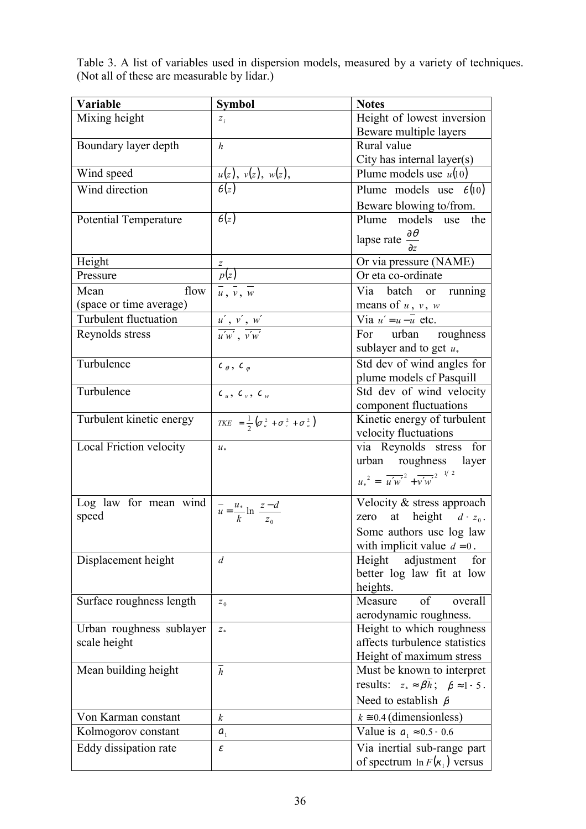Table 3. A list of variables used in dispersion models, measured by a variety of techniques. (Not all of these are measurable by lidar.)

| Variable                     | <b>Symbol</b>                                                       | <b>Notes</b>                                                        |
|------------------------------|---------------------------------------------------------------------|---------------------------------------------------------------------|
| Mixing height                | $\boldsymbol{z}_i$                                                  | Height of lowest inversion                                          |
|                              |                                                                     | Beware multiple layers                                              |
| Boundary layer depth         | $\boldsymbol{h}$                                                    | Rural value                                                         |
|                              |                                                                     | City has internal layer(s)                                          |
| Wind speed                   | $u(z)$ , $v(z)$ , $w(z)$ ,<br>$\theta(z)$                           | Plume models use $u(10)$                                            |
| Wind direction               |                                                                     | Plume models use $\theta(10)$                                       |
|                              |                                                                     | Beware blowing to/from.                                             |
| <b>Potential Temperature</b> | $\theta(z)$                                                         | Plume models use<br>the                                             |
|                              |                                                                     | lapse rate $\frac{\partial \theta}{\partial z}$                     |
|                              |                                                                     |                                                                     |
| Height                       | $\overline{z}$                                                      | Or via pressure (NAME)                                              |
| Pressure                     | $\frac{2}{p(z)}$                                                    | Or eta co-ordinate                                                  |
| flow<br>Mean                 | $\frac{1}{u}$ , $\frac{1}{v}$ , $\frac{1}{w}$                       | Via batch or running                                                |
| (space or time average)      |                                                                     | means of $u, v, w$                                                  |
| <b>Turbulent fluctuation</b> | $\frac{u', v', w'}{u'w', v'w'}$                                     | Via $u' = u - \overline{u}$ etc.                                    |
| Reynolds stress              |                                                                     | For urban roughness                                                 |
|                              |                                                                     | sublayer and to get $u_*$                                           |
| Turbulence                   | $c_{\theta}$ , $c_{\phi}$                                           | Std dev of wind angles for                                          |
|                              |                                                                     | plume models of Pasquill                                            |
| Turbulence                   | $c_{\nu}$ , $c_{\nu}$ , $c_{\nu}$                                   | Std dev of wind velocity                                            |
|                              |                                                                     | component fluctuations                                              |
| Turbulent kinetic energy     | TKE = $\frac{1}{2}$ ( $\sigma_u^2 + \sigma_v^2 + \sigma_w^2$ )      | Kinetic energy of turbulent                                         |
|                              |                                                                     | velocity fluctuations                                               |
| Local Friction velocity      | $u_*$                                                               | via Reynolds stress for                                             |
|                              |                                                                     | urban roughness layer                                               |
|                              |                                                                     | $u_*^2 = \left(\overline{u'w'}^2 + \overline{v'w'}^2\right)^{1/2}$  |
| Log law for mean wind        |                                                                     | Velocity & stress approach                                          |
| speed                        | $\overline{u} = \frac{u_*}{k} \ln \left( \frac{z - d}{z_0} \right)$ | zero at height $d + z_0$ .                                          |
|                              |                                                                     | Some authors use log law                                            |
|                              |                                                                     | with implicit value $d = 0$ .                                       |
| Displacement height          | $\overline{d}$                                                      | Height adjustment<br>for                                            |
|                              |                                                                     | better log law fit at low                                           |
|                              |                                                                     | heights.                                                            |
| Surface roughness length     | $z_0$                                                               | of<br>overall<br>Measure                                            |
| Urban roughness sublayer     |                                                                     | aerodynamic roughness.<br>Height to which roughness                 |
| scale height                 | $\boldsymbol{Z}_*$                                                  | affects turbulence statistics                                       |
|                              |                                                                     | Height of maximum stress                                            |
| Mean building height         | $\overline{h}$                                                      | Must be known to interpret                                          |
|                              |                                                                     | results: $z_* \approx \beta \overline{h}$ ; $\beta \approx 1 - 5$ . |
|                              |                                                                     | Need to establish $\beta$                                           |
| Von Karman constant          |                                                                     |                                                                     |
|                              | $\boldsymbol{k}$                                                    | $k \approx 0.4$ (dimensionless)                                     |
| Kolmogorov constant          | $a_{1}$                                                             | Value is $a_1 \approx 0.5 - 0.6$                                    |
| Eddy dissipation rate        | $\boldsymbol{\mathcal{E}}$                                          | Via inertial sub-range part                                         |
|                              |                                                                     | of spectrum $\ln F(x_1)$ versus                                     |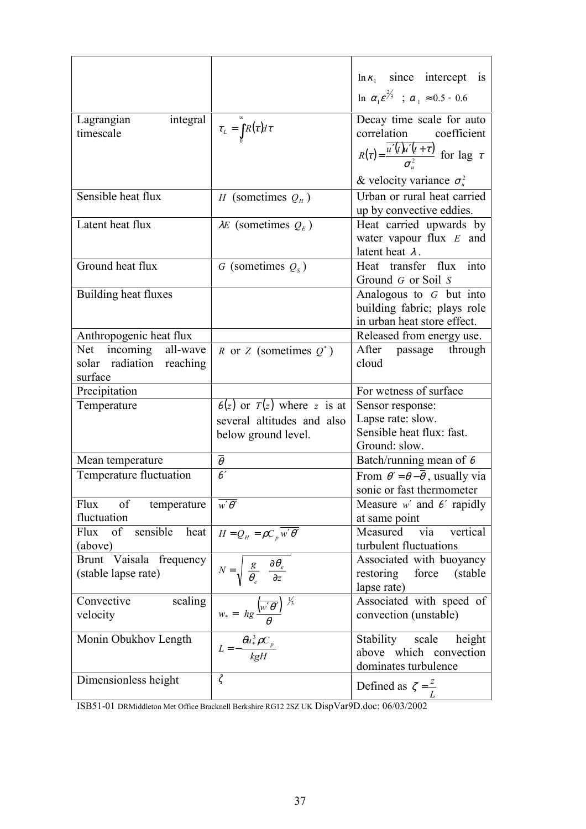|                                                                             |                                                                                               | $\ln \kappa_1$ since intercept is                                                                          |
|-----------------------------------------------------------------------------|-----------------------------------------------------------------------------------------------|------------------------------------------------------------------------------------------------------------|
|                                                                             |                                                                                               | $\ln \left( \alpha_1 \varepsilon^{2/3} \right)$ ; $\alpha_1 \approx 0.5 - 0.6$                             |
| integral<br>Lagrangian<br>timescale                                         | $\tau_{L} = \int_{0}^{\infty} R(\tau) d\tau$                                                  | Decay time scale for auto<br>correlation coefficient                                                       |
|                                                                             |                                                                                               | $R(\tau) = \frac{\overline{u'(t)}u'(t+\tau)}{\sigma^2}$ for lag $\tau$<br>& velocity variance $\sigma_u^2$ |
| Sensible heat flux                                                          | H (sometimes $Q_H$ )                                                                          | Urban or rural heat carried<br>up by convective eddies.                                                    |
| Latent heat flux                                                            | $\lambda E$ (sometimes $Q_E$ )                                                                | Heat carried upwards by<br>water vapour flux $E$ and<br>latent heat $\lambda$ .                            |
| Ground heat flux                                                            | G (sometimes $Q_s$ )                                                                          | Heat transfer flux into<br>Ground G or Soil S                                                              |
| Building heat fluxes                                                        |                                                                                               | Analogous to $G$ but into<br>building fabric; plays role<br>in urban heat store effect.                    |
| Anthropogenic heat flux                                                     |                                                                                               | Released from energy use.                                                                                  |
| Net incoming all-wave<br>solar radiation reaching                           | R or Z (sometimes $Q^*$ )                                                                     | After passage through<br>cloud                                                                             |
| surface                                                                     |                                                                                               |                                                                                                            |
| Precipitation                                                               |                                                                                               | For wetness of surface                                                                                     |
| Temperature                                                                 | $\theta(z)$ or $T(z)$ where z is at                                                           | Sensor response:                                                                                           |
|                                                                             | several altitudes and also                                                                    | Lapse rate: slow.                                                                                          |
|                                                                             | below ground level.                                                                           | Sensible heat flux: fast.                                                                                  |
|                                                                             |                                                                                               | Ground: slow.                                                                                              |
| Mean temperature<br>Temperature fluctuation                                 | $\bar{\theta}$<br>$\theta'$                                                                   | Batch/running mean of $\theta$                                                                             |
|                                                                             |                                                                                               | From $\theta' = \theta - \theta$ , usually via<br>sonic or fast thermometer                                |
| of<br>Flux<br>temperature<br>fluctuation                                    | $\overline{w'\theta'}$                                                                        | Measure $w'$ and $\theta'$ rapidly<br>at same point                                                        |
| Flux of sensible heat $H = Q_H = \rho C_p \overline{w' \theta'}$<br>(above) |                                                                                               | Measured<br>via<br>vertical<br>turbulent fluctuations                                                      |
| Brunt Vaisala frequency<br>(stable lapse rate)                              | $N = \sqrt{\left(\frac{g}{\theta_e}\right)\left(\frac{\partial \theta_e}{\partial z}\right)}$ | Associated with buoyancy<br>restoring<br>force<br>(stable)<br>lapse rate)                                  |
| scaling<br>Convective<br>velocity                                           | $w_* = \left(hg\frac{\left(w'\theta'\right)}{\theta}\right)^{\frac{1}{2}}$                    | Associated with speed of<br>convection (unstable)                                                          |
| Monin Obukhov Length<br>Dimensionless height                                | $L = -\frac{\theta u_*^3 \rho C_p}{k g H}$<br>$\zeta$                                         | Stability scale height<br>above which convection<br>dominates turbulence                                   |

ISB51-01 DRMiddleton Met Office Bracknell Berkshire RG12 2SZ UK DispVar9D.doc: 06/03/2002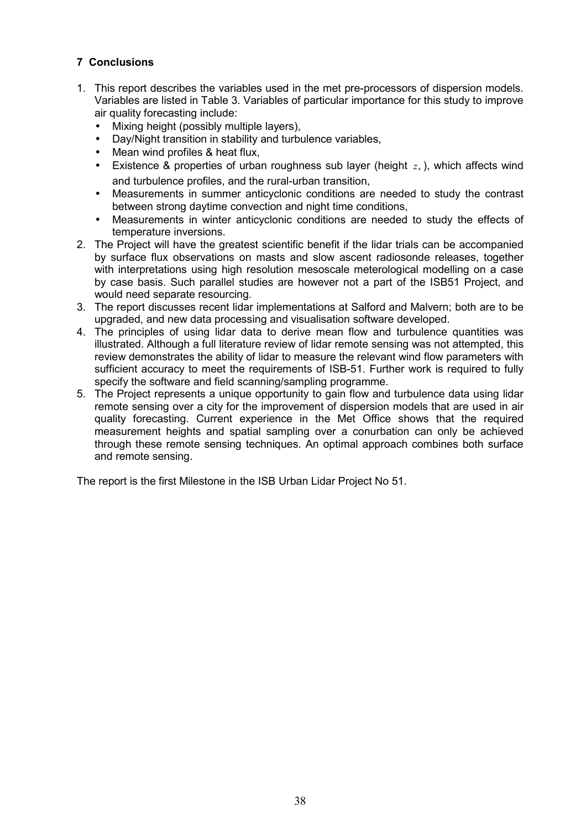## **7 Conclusions**

- 1. This report describes the variables used in the met pre-processors of dispersion models. Variables are listed in Table 3. Variables of particular importance for this study to improve air quality forecasting include:
	- Mixing height (possibly multiple layers),
	- Day/Night transition in stability and turbulence variables,
	- Mean wind profiles & heat flux,
	- Existence & properties of urban roughness sub layer (height  $z_*$ ), which affects wind and turbulence profiles, and the rural-urban transition,
	- Measurements in summer anticyclonic conditions are needed to study the contrast between strong daytime convection and night time conditions,
	- Measurements in winter anticyclonic conditions are needed to study the effects of temperature inversions.
- 2. The Project will have the greatest scientific benefit if the lidar trials can be accompanied by surface flux observations on masts and slow ascent radiosonde releases, together with interpretations using high resolution mesoscale meterological modelling on a case by case basis. Such parallel studies are however not a part of the ISB51 Project, and would need separate resourcing.
- 3. The report discusses recent lidar implementations at Salford and Malvern; both are to be upgraded, and new data processing and visualisation software developed.
- 4. The principles of using lidar data to derive mean flow and turbulence quantities was illustrated. Although a full literature review of lidar remote sensing was not attempted, this review demonstrates the ability of lidar to measure the relevant wind flow parameters with sufficient accuracy to meet the requirements of ISB-51. Further work is required to fully specify the software and field scanning/sampling programme.
- 5. The Project represents a unique opportunity to gain flow and turbulence data using lidar remote sensing over a city for the improvement of dispersion models that are used in air quality forecasting. Current experience in the Met Office shows that the required measurement heights and spatial sampling over a conurbation can only be achieved through these remote sensing techniques. An optimal approach combines both surface and remote sensing.

The report is the first Milestone in the ISB Urban Lidar Project No 51.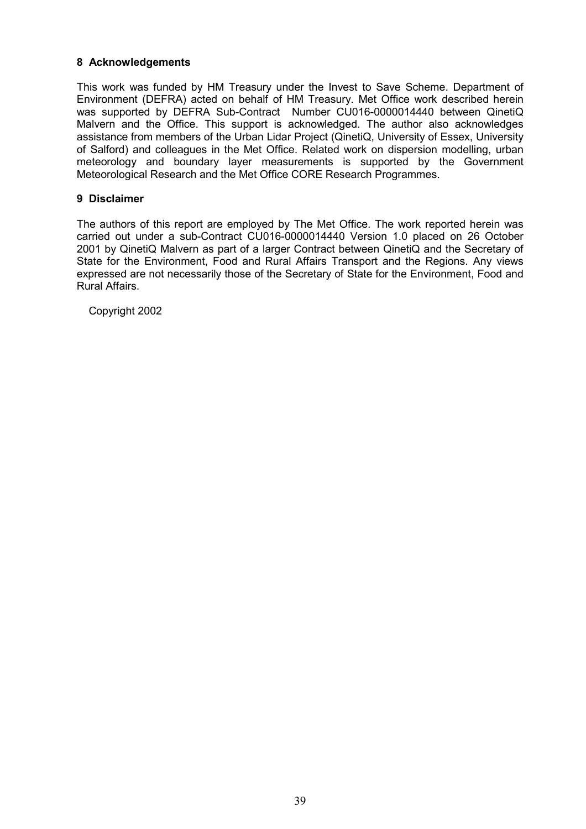### **8 Acknowledgements**

This work was funded by HM Treasury under the Invest to Save Scheme. Department of Environment (DEFRA) acted on behalf of HM Treasury. Met Office work described herein was supported by DEFRA Sub-Contract Number CU016-0000014440 between QinetiQ Malvern and the Office. This support is acknowledged. The author also acknowledges assistance from members of the Urban Lidar Project (QinetiQ, University of Essex, University of Salford) and colleagues in the Met Office. Related work on dispersion modelling, urban meteorology and boundary layer measurements is supported by the Government Meteorological Research and the Met Office CORE Research Programmes.

### **9 Disclaimer**

The authors of this report are employed by The Met Office. The work reported herein was carried out under a sub-Contract CU016-0000014440 Version 1.0 placed on 26 October 2001 by QinetiQ Malvern as part of a larger Contract between QinetiQ and the Secretary of State for the Environment, Food and Rural Affairs Transport and the Regions. Any views expressed are not necessarily those of the Secretary of State for the Environment, Food and Rural Affairs.

Copyright 2002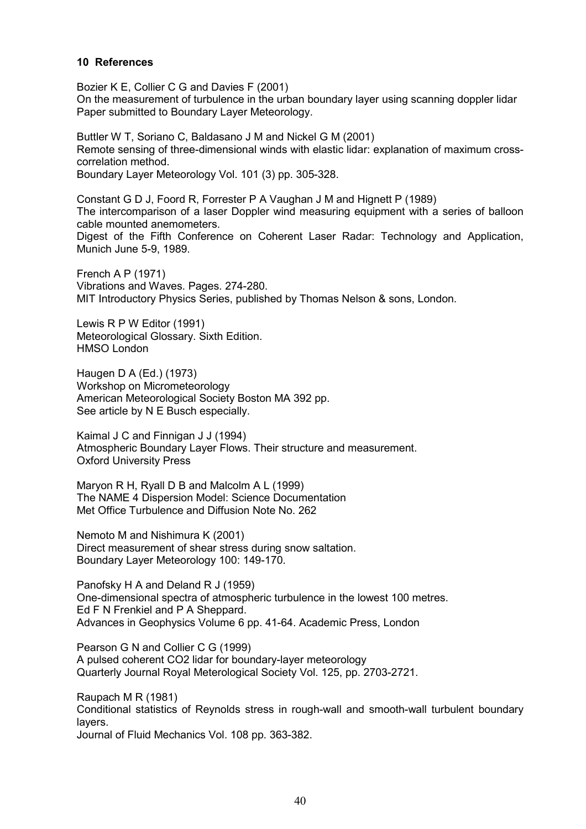#### **10 References**

Bozier K E, Collier C G and Davies F (2001) On the measurement of turbulence in the urban boundary layer using scanning doppler lidar Paper submitted to Boundary Layer Meteorology.

Buttler W T, Soriano C, Baldasano J M and Nickel G M (2001) Remote sensing of three-dimensional winds with elastic lidar: explanation of maximum crosscorrelation method. Boundary Layer Meteorology Vol. 101 (3) pp. 305-328.

Constant G D J, Foord R, Forrester P A Vaughan J M and Hignett P (1989) The intercomparison of a laser Doppler wind measuring equipment with a series of balloon cable mounted anemometers.

Digest of the Fifth Conference on Coherent Laser Radar: Technology and Application, Munich June 5-9, 1989.

French A P (1971) Vibrations and Waves. Pages. 274-280. MIT Introductory Physics Series, published by Thomas Nelson & sons, London.

Lewis R P W Editor (1991) Meteorological Glossary. Sixth Edition. HMSO London

Haugen D A (Ed.) (1973) Workshop on Micrometeorology American Meteorological Society Boston MA 392 pp. See article by N E Busch especially.

Kaimal J C and Finnigan J J (1994) Atmospheric Boundary Layer Flows. Their structure and measurement. Oxford University Press

Maryon R H, Ryall D B and Malcolm A L (1999) The NAME 4 Dispersion Model: Science Documentation Met Office Turbulence and Diffusion Note No. 262

Nemoto M and Nishimura K (2001) Direct measurement of shear stress during snow saltation. Boundary Layer Meteorology 100: 149-170.

Panofsky H A and Deland R J (1959) One-dimensional spectra of atmospheric turbulence in the lowest 100 metres. Ed F N Frenkiel and P A Sheppard. Advances in Geophysics Volume 6 pp. 41-64. Academic Press, London

Pearson G N and Collier C G (1999) A pulsed coherent CO2 lidar for boundary-layer meteorology Quarterly Journal Royal Meterological Society Vol. 125, pp. 2703-2721.

Raupach M R (1981) Conditional statistics of Reynolds stress in rough-wall and smooth-wall turbulent boundary layers.

Journal of Fluid Mechanics Vol. 108 pp. 363-382.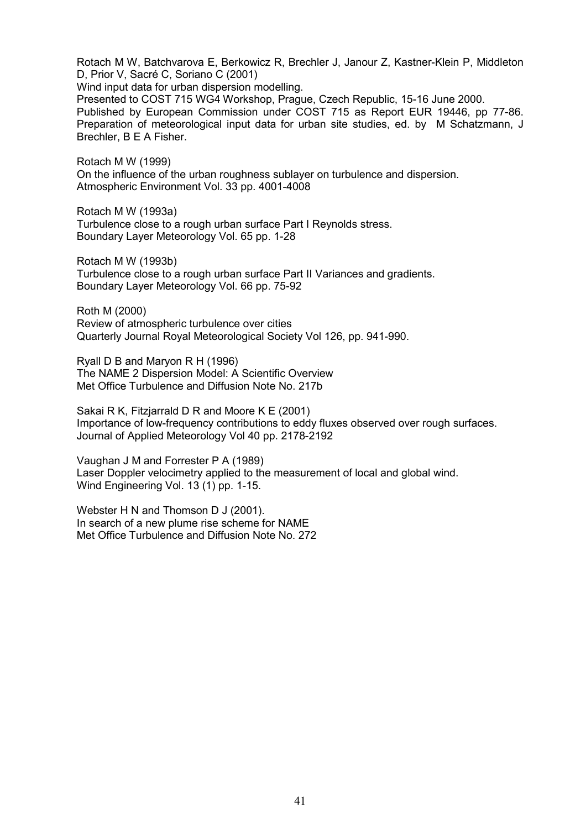Rotach M W, Batchvarova E, Berkowicz R, Brechler J, Janour Z, Kastner-Klein P, Middleton D, Prior V, Sacré C, Soriano C (2001)

Wind input data for urban dispersion modelling. Presented to COST 715 WG4 Workshop, Prague, Czech Republic, 15-16 June 2000. Published by European Commission under COST 715 as Report EUR 19446, pp 77-86. Preparation of meteorological input data for urban site studies, ed. by M Schatzmann, J Brechler, B E A Fisher.

Rotach M W (1999) On the influence of the urban roughness sublayer on turbulence and dispersion. Atmospheric Environment Vol. 33 pp. 4001-4008

Rotach M W (1993a) Turbulence close to a rough urban surface Part I Reynolds stress. Boundary Layer Meteorology Vol. 65 pp. 1-28

Rotach M W (1993b) Turbulence close to a rough urban surface Part II Variances and gradients. Boundary Layer Meteorology Vol. 66 pp. 75-92

Roth M (2000) Review of atmospheric turbulence over cities Quarterly Journal Royal Meteorological Society Vol 126, pp. 941-990.

Ryall D B and Maryon R H (1996) The NAME 2 Dispersion Model: A Scientific Overview Met Office Turbulence and Diffusion Note No. 217b

Sakai R K, Fitzjarrald D R and Moore K E (2001) Importance of low-frequency contributions to eddy fluxes observed over rough surfaces. Journal of Applied Meteorology Vol 40 pp. 2178-2192

Vaughan J M and Forrester P A (1989) Laser Doppler velocimetry applied to the measurement of local and global wind. Wind Engineering Vol. 13 (1) pp. 1-15.

Webster H N and Thomson D J (2001). In search of a new plume rise scheme for NAME Met Office Turbulence and Diffusion Note No. 272